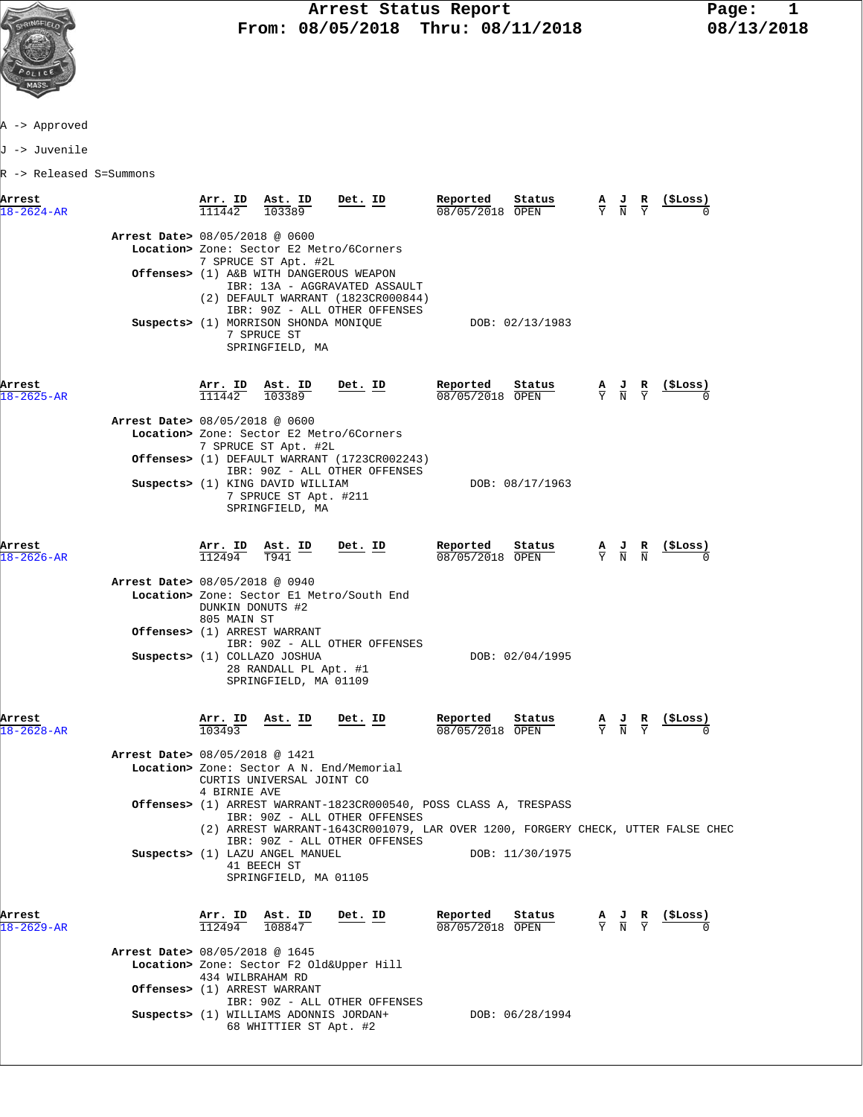

## **Arrest Status Report** Page: 1<br>08/05/2018 Thru: 08/11/2018 08/13/2018  **From: 08/05/2018 Thru: 08/11/2018 08/13/2018**

A -> Approved

J -> Juvenile

R -> Released S=Summons

| Arrest<br>$18 - 2624 - AR$ |                                | Arr. ID Ast. ID<br>111442       | 103389                                                                         | Det. ID                                                                                                                                                                                                                | Reported<br>08/05/2018 OPEN   | Status          | $\frac{A}{Y}$ $\frac{J}{N}$                                                                     | R<br>$\overline{Y}$ | (\$Loss)<br>$\Omega$ |  |
|----------------------------|--------------------------------|---------------------------------|--------------------------------------------------------------------------------|------------------------------------------------------------------------------------------------------------------------------------------------------------------------------------------------------------------------|-------------------------------|-----------------|-------------------------------------------------------------------------------------------------|---------------------|----------------------|--|
|                            | Arrest Date> 08/05/2018 @ 0600 |                                 | 7 SPRUCE ST Apt. #2L<br>Offenses> (1) A&B WITH DANGEROUS WEAPON                | Location> Zone: Sector E2 Metro/6Corners                                                                                                                                                                               |                               |                 |                                                                                                 |                     |                      |  |
|                            |                                |                                 |                                                                                | IBR: 13A - AGGRAVATED ASSAULT<br>(2) DEFAULT WARRANT (1823CR000844)<br>IBR: 90Z - ALL OTHER OFFENSES                                                                                                                   |                               |                 |                                                                                                 |                     |                      |  |
|                            |                                |                                 | Suspects> (1) MORRISON SHONDA MONIQUE<br>7 SPRUCE ST<br>SPRINGFIELD, MA        |                                                                                                                                                                                                                        |                               | DOB: 02/13/1983 |                                                                                                 |                     |                      |  |
| Arrest<br>$18 - 2625 - AR$ |                                | $\frac{\texttt{Arr.}}{111442}$  | <u>Ast.</u> ID<br>103389                                                       | <u>Det. ID</u>                                                                                                                                                                                                         | Reported<br>08/05/2018 OPEN   | Status          | $\frac{\mathbf{A}}{\mathbf{Y}}$ $\frac{\mathbf{J}}{\mathbf{N}}$ $\frac{\mathbf{R}}{\mathbf{Y}}$ |                     |                      |  |
|                            | Arrest Date> 08/05/2018 @ 0600 |                                 |                                                                                | Location> Zone: Sector E2 Metro/6Corners                                                                                                                                                                               |                               |                 |                                                                                                 |                     |                      |  |
|                            |                                |                                 | 7 SPRUCE ST Apt. #2L                                                           | Offenses> (1) DEFAULT WARRANT (1723CR002243)<br>IBR: 90Z - ALL OTHER OFFENSES                                                                                                                                          |                               |                 |                                                                                                 |                     |                      |  |
|                            |                                |                                 | Suspects> (1) KING DAVID WILLIAM<br>7 SPRUCE ST Apt. #211<br>SPRINGFIELD, MA   |                                                                                                                                                                                                                        |                               | DOB: 08/17/1963 |                                                                                                 |                     |                      |  |
| Arrest<br>$18 - 2626 - AR$ |                                | Arr. ID<br>112494               | $\frac{\texttt{Ast. ID}}{\texttt{T941}}$                                       | Det. ID                                                                                                                                                                                                                | Reported<br>08/05/2018 OPEN   | Status          | $\frac{A}{Y}$ $\frac{J}{N}$ $\frac{R}{N}$                                                       |                     | (ŞLoss)              |  |
|                            | Arrest Date> 08/05/2018 @ 0940 | DUNKIN DONUTS #2<br>805 MAIN ST |                                                                                | Location> Zone: Sector El Metro/South End                                                                                                                                                                              |                               |                 |                                                                                                 |                     |                      |  |
|                            |                                |                                 | <b>Offenses&gt;</b> (1) ARREST WARRANT                                         | IBR: 90Z - ALL OTHER OFFENSES                                                                                                                                                                                          |                               |                 |                                                                                                 |                     |                      |  |
|                            |                                |                                 | Suspects> (1) COLLAZO JOSHUA<br>28 RANDALL PL Apt. #1<br>SPRINGFIELD, MA 01109 |                                                                                                                                                                                                                        |                               | DOB: 02/04/1995 |                                                                                                 |                     |                      |  |
| Arrest<br>$18 - 2628 - AR$ |                                | Arr. ID<br>103493               | <u>Ast. ID</u>                                                                 | Det. ID                                                                                                                                                                                                                | Reported<br>$08/05/2018$ OPEN | Status          | $\frac{A}{Y}$ $\frac{J}{N}$ $\frac{R}{Y}$                                                       |                     |                      |  |
|                            | Arrest Date> 08/05/2018 @ 1421 | 4 BIRNIE AVE                    | CURTIS UNIVERSAL JOINT CO                                                      | Location> Zone: Sector A N. End/Memorial                                                                                                                                                                               |                               |                 |                                                                                                 |                     |                      |  |
|                            |                                |                                 |                                                                                | Offenses> (1) ARREST WARRANT-1823CR000540, POSS CLASS A, TRESPASS<br>IBR: 90Z - ALL OTHER OFFENSES<br>(2) ARREST WARRANT-1643CR001079, LAR OVER 1200, FORGERY CHECK, UTTER FALSE CHEC<br>IBR: 90Z - ALL OTHER OFFENSES |                               |                 |                                                                                                 |                     |                      |  |
|                            |                                |                                 | Suspects> (1) LAZU ANGEL MANUEL<br>41 BEECH ST<br>SPRINGFIELD, MA 01105        |                                                                                                                                                                                                                        |                               | DOB: 11/30/1975 |                                                                                                 |                     |                      |  |
| Arrest<br>$18 - 2629 - AR$ |                                | Arr. ID<br>112494               | Ast. ID<br>108847                                                              | Det. ID                                                                                                                                                                                                                | Reported<br>08/05/2018 OPEN   | Status          | $\frac{A}{Y}$ $\frac{J}{N}$ $\frac{R}{Y}$                                                       |                     | (ŞLoss)              |  |
|                            | Arrest Date> 08/05/2018 @ 1645 |                                 |                                                                                | Location> Zone: Sector F2 Old&Upper Hill                                                                                                                                                                               |                               |                 |                                                                                                 |                     |                      |  |
|                            |                                | 434 WILBRAHAM RD                | Offenses> (1) ARREST WARRANT                                                   |                                                                                                                                                                                                                        |                               |                 |                                                                                                 |                     |                      |  |
|                            |                                |                                 |                                                                                | IBR: 90Z - ALL OTHER OFFENSES                                                                                                                                                                                          |                               |                 |                                                                                                 |                     |                      |  |
|                            |                                |                                 | Suspects> (1) WILLIAMS ADONNIS JORDAN+<br>68 WHITTIER ST Apt. #2               |                                                                                                                                                                                                                        |                               | DOB: 06/28/1994 |                                                                                                 |                     |                      |  |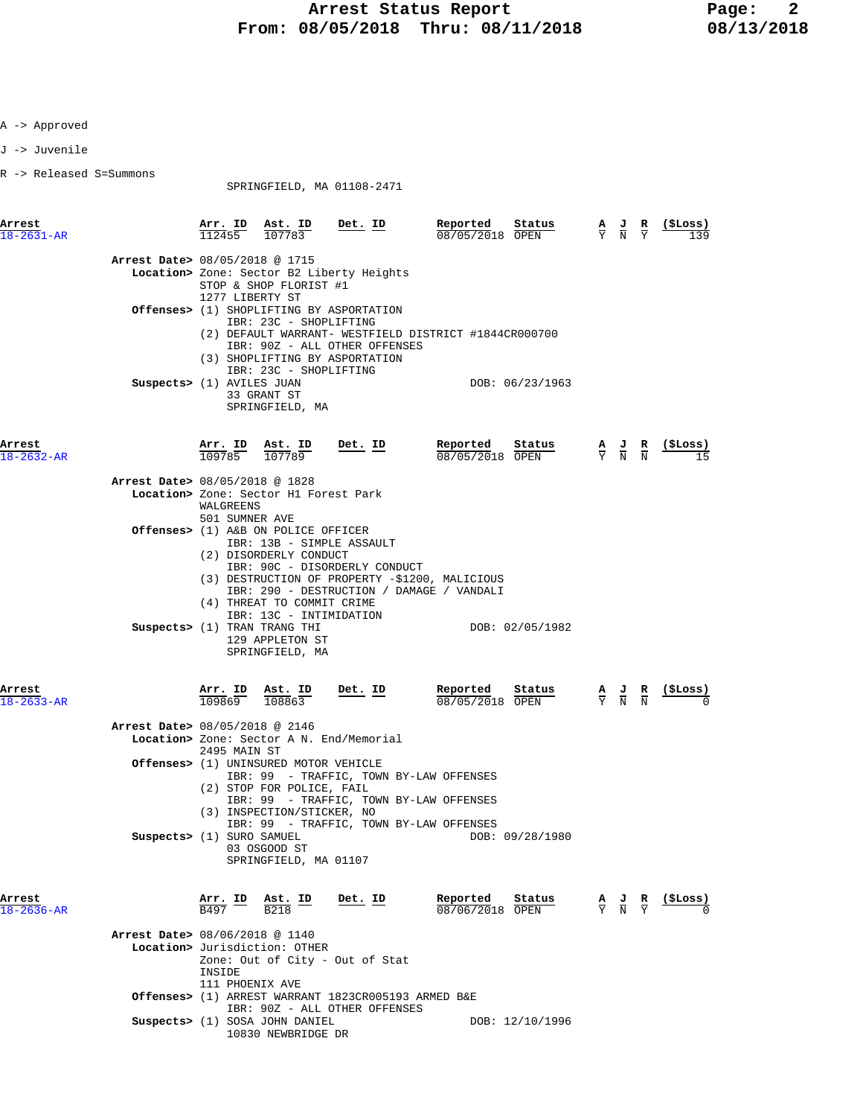J -> Juvenile

R -> Released S=Summons

SPRINGFIELD, MA 01108-2471

| Arrest<br>18-2631-AR           |                             | $\frac{\texttt{Arr.}}{112455}$ $\frac{\texttt{Ab.}}{107783}$ Det. ID                                                             |                                                                                                                                  | Reported<br>Status<br>08/05/2018 OPEN                 | $\frac{A}{Y}$ $\frac{J}{N}$                                                                     | $rac{\mathbf{R}}{\mathbf{Y}}$ | (\$Loss) |
|--------------------------------|-----------------------------|----------------------------------------------------------------------------------------------------------------------------------|----------------------------------------------------------------------------------------------------------------------------------|-------------------------------------------------------|-------------------------------------------------------------------------------------------------|-------------------------------|----------|
| Arrest Date> 08/05/2018 @ 1715 | 1277 LIBERTY ST             | STOP & SHOP FLORIST #1<br>IBR: 23C - SHOPLIFTING                                                                                 | Location> Zone: Sector B2 Liberty Heights<br><b>Offenses&gt;</b> (1) SHOPLIFTING BY ASPORTATION<br>IBR: 90Z - ALL OTHER OFFENSES | (2) DEFAULT WARRANT- WESTFIELD DISTRICT #1844CR000700 |                                                                                                 |                               |          |
|                                | Suspects> (1) AVILES JUAN   | IBR: 23C - SHOPLIFTING<br>33 GRANT ST<br>SPRINGFIELD, MA                                                                         | (3) SHOPLIFTING BY ASPORTATION                                                                                                   | DOB: 06/23/1963                                       |                                                                                                 |                               |          |
| Arrest<br>$18 - 2632 - AR$     |                             | Arr. ID Ast. ID<br>109785 107789                                                                                                 | $Det. ID$                                                                                                                        | Reported<br>Status<br>08/05/2018 OPEN                 | $\frac{\mathbf{A}}{\mathbf{Y}}$ $\frac{\mathbf{J}}{\mathbf{N}}$ $\frac{\mathbf{R}}{\mathbf{N}}$ |                               | (ŞLoss)  |
| Arrest Date> 08/05/2018 @ 1828 | WALGREENS<br>501 SUMNER AVE | Location> Zone: Sector H1 Forest Park                                                                                            |                                                                                                                                  |                                                       |                                                                                                 |                               |          |
|                                |                             | <b>Offenses&gt;</b> (1) A&B ON POLICE OFFICER<br>(2) DISORDERLY CONDUCT<br>(4) THREAT TO COMMIT CRIME<br>IBR: 13C - INTIMIDATION | IBR: 13B - SIMPLE ASSAULT<br>IBR: 90C - DISORDERLY CONDUCT<br>IBR: 290 - DESTRUCTION / DAMAGE / VANDALI                          | (3) DESTRUCTION OF PROPERTY -\$1200, MALICIOUS        |                                                                                                 |                               |          |
|                                |                             | Suspects> (1) TRAN TRANG THI<br>129 APPLETON ST<br>SPRINGFIELD, MA                                                               |                                                                                                                                  | DOB: 02/05/1982                                       |                                                                                                 |                               |          |
| Arrest<br>18-2633-AR           | 109869                      | Arr. ID Ast. ID<br>108863                                                                                                        | $Det. ID$                                                                                                                        | Reported<br>Status<br>08/05/2018 OPEN                 | $\frac{\mathbf{A}}{\mathbf{Y}}$ $\frac{\mathbf{J}}{\mathbf{N}}$ $\frac{\mathbf{R}}{\mathbf{N}}$ |                               | (ŞLoss)  |
| Arrest Date> 08/05/2018 @ 2146 | 2495 MAIN ST                |                                                                                                                                  | Location> Zone: Sector A N. End/Memorial                                                                                         |                                                       |                                                                                                 |                               |          |
|                                |                             | Offenses> (1) UNINSURED MOTOR VEHICLE<br>(2) STOP FOR POLICE, FAIL<br>(3) INSPECTION/STICKER, NO                                 | IBR: 99 - TRAFFIC, TOWN BY-LAW OFFENSES<br>IBR: 99 - TRAFFIC, TOWN BY-LAW OFFENSES                                               |                                                       |                                                                                                 |                               |          |
|                                | Suspects> (1) SURO SAMUEL   | 03 OSGOOD ST<br>SPRINGFIELD, MA 01107                                                                                            | IBR: 99 - TRAFFIC, TOWN BY-LAW OFFENSES                                                                                          | DOB: 09/28/1980                                       |                                                                                                 |                               |          |
| Arrest<br>18-2636-AR           | Arr. ID<br>B497             | Ast. ID<br><b>B218</b>                                                                                                           | Det. ID                                                                                                                          | Reported<br>Status<br>08/06/2018 OPEN                 | $\frac{\mathbf{A}}{\mathbf{Y}}$ $\frac{\mathbf{J}}{\mathbf{N}}$ $\frac{\mathbf{R}}{\mathbf{Y}}$ |                               | (\$Loss) |
| Arrest Date> 08/06/2018 @ 1140 | INSIDE<br>111 PHOENIX AVE   | Location> Jurisdiction: OTHER                                                                                                    | Zone: Out of City - Out of Stat                                                                                                  |                                                       |                                                                                                 |                               |          |
|                                |                             |                                                                                                                                  | Offenses> (1) ARREST WARRANT 1823CR005193 ARMED B&E<br>IBR: 90Z - ALL OTHER OFFENSES                                             |                                                       |                                                                                                 |                               |          |
|                                |                             | Suspects> (1) SOSA JOHN DANIEL<br>10830 NEWBRIDGE DR                                                                             |                                                                                                                                  | DOB: 12/10/1996                                       |                                                                                                 |                               |          |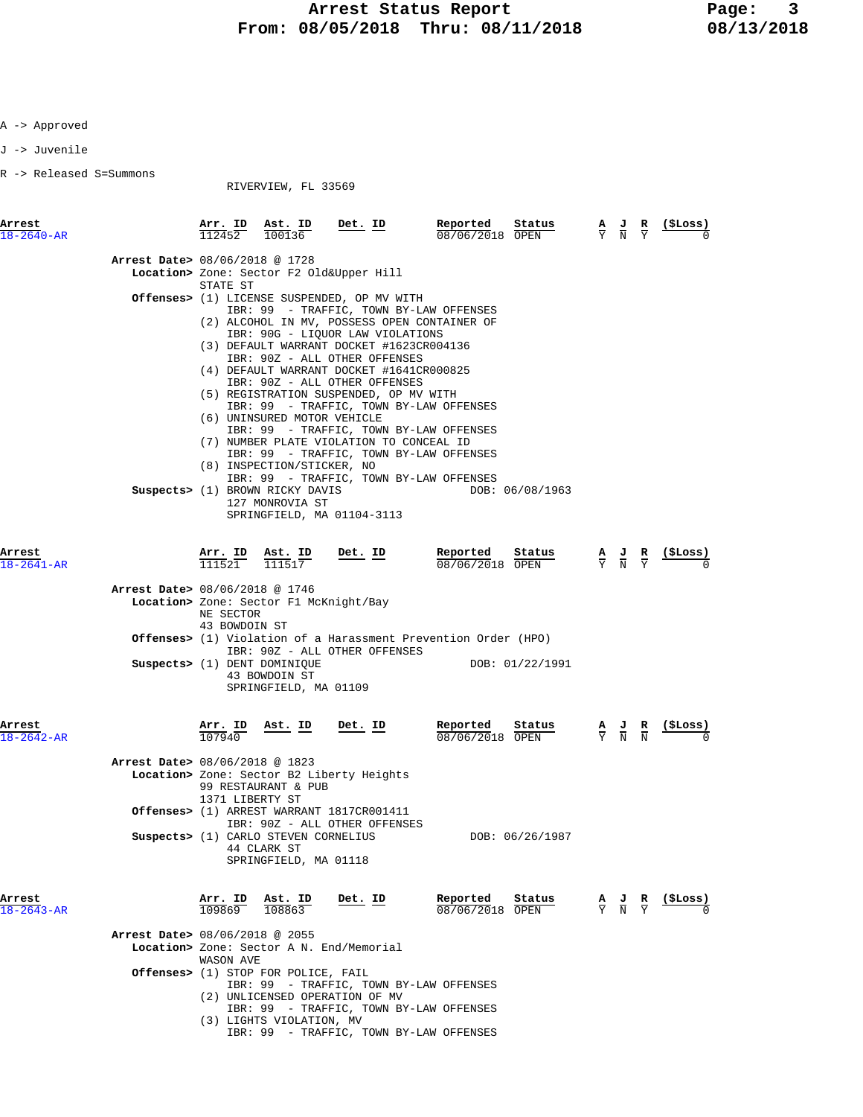J -> Juvenile

R -> Released S=Summons

RIVERVIEW, FL 33569

| Arrest<br>$18 - 2640 - AR$                                       |                            | $\frac{\texttt{Arr.}}{112452}$ $\frac{\texttt{Ab.}}{100136}$                                                                                      | $Det. ID$                                                                                                                                                                                                                                                                                                                                                                                                                                                                                                                                                                                                                                                                        | Reported<br>$\frac{\texttt{Status}}{\text{OPTN}}$<br>08/06/2018 OPEN                                                                            |                                           | $\frac{A}{Y}$ $\frac{J}{N}$ $\frac{R}{Y}$ | <u>( SLoss )</u>                                              |
|------------------------------------------------------------------|----------------------------|---------------------------------------------------------------------------------------------------------------------------------------------------|----------------------------------------------------------------------------------------------------------------------------------------------------------------------------------------------------------------------------------------------------------------------------------------------------------------------------------------------------------------------------------------------------------------------------------------------------------------------------------------------------------------------------------------------------------------------------------------------------------------------------------------------------------------------------------|-------------------------------------------------------------------------------------------------------------------------------------------------|-------------------------------------------|-------------------------------------------|---------------------------------------------------------------|
| Arrest Date> 08/06/2018 @ 1728                                   | STATE ST                   | (6) UNINSURED MOTOR VEHICLE<br>(8) INSPECTION/STICKER, NO<br>Suspects> (1) BROWN RICKY DAVIS<br>127 MONROVIA ST                                   | Location> Zone: Sector F2 Old&Upper Hill<br>Offenses> (1) LICENSE SUSPENDED, OP MV WITH<br>IBR: 99 - TRAFFIC, TOWN BY-LAW OFFENSES<br>(2) ALCOHOL IN MV, POSSESS OPEN CONTAINER OF<br>IBR: 90G - LIQUOR LAW VIOLATIONS<br>(3) DEFAULT WARRANT DOCKET #1623CR004136<br>IBR: 90Z - ALL OTHER OFFENSES<br>(4) DEFAULT WARRANT DOCKET #1641CR000825<br>IBR: 90Z - ALL OTHER OFFENSES<br>(5) REGISTRATION SUSPENDED, OP MV WITH<br>IBR: 99 - TRAFFIC, TOWN BY-LAW OFFENSES<br>IBR: 99 - TRAFFIC, TOWN BY-LAW OFFENSES<br>(7) NUMBER PLATE VIOLATION TO CONCEAL ID<br>IBR: 99 - TRAFFIC, TOWN BY-LAW OFFENSES<br>IBR: 99 - TRAFFIC, TOWN BY-LAW OFFENSES<br>SPRINGFIELD, MA 01104-3113 | DOB: 06/08/1963                                                                                                                                 |                                           |                                           |                                                               |
| Arrest<br>$18 - 2641 - AR$<br>Arrest Date> 08/06/2018 @ 1746     | NE SECTOR<br>43 BOWDOIN ST | $\frac{\text{Arr. ID}}{111521}$ $\frac{\text{Ast. ID}}{111517}$ Det. ID<br>Suspects> (1) DENT DOMINIQUE<br>43 BOWDOIN ST<br>SPRINGFIELD, MA 01109 | Location> Zone: Sector F1 McKnight/Bay<br>IBR: 90Z - ALL OTHER OFFENSES                                                                                                                                                                                                                                                                                                                                                                                                                                                                                                                                                                                                          | Reported<br>Status<br>$\frac{2.288}{08/06/2018}$<br><b>Offenses&gt;</b> (1) Violation of a Harassment Prevention Order (HPO)<br>DOB: 01/22/1991 |                                           | $\frac{A}{Y}$ $\frac{J}{N}$ $\frac{R}{Y}$ | (SLoss)                                                       |
| Arrest<br>18-2642-AR<br><b>Arrest Date&gt;</b> 08/06/2018 @ 1823 | 1371 LIBERTY ST            | $\frac{\texttt{Arr. ID}}{107940}$ Ast. ID<br>99 RESTAURANT & PUB<br>Suspects> (1) CARLO STEVEN CORNELIUS<br>44 CLARK ST<br>SPRINGFIELD, MA 01118  | <u>Det.</u> ID<br>Location> Zone: Sector B2 Liberty Heights<br>Offenses> (1) ARREST WARRANT 1817CR001411<br>IBR: 90Z - ALL OTHER OFFENSES                                                                                                                                                                                                                                                                                                                                                                                                                                                                                                                                        | Reported<br>Status<br>08/06/2018 OPEN<br>DOB: 06/26/1987                                                                                        | $\frac{A}{Y}$ $\frac{J}{N}$ $\frac{R}{N}$ |                                           | (SLoss)                                                       |
| Arrest<br>$18 - 2643 - AR$<br>Arrest Date> 08/06/2018 @ 2055     | WASON AVE                  | Arr. ID Ast. ID<br>109869 108863<br><b>Offenses&gt;</b> (1) STOP FOR POLICE, FAIL                                                                 | Det. ID<br>Location> Zone: Sector A N. End/Memorial<br>IBR: 99 - TRAFFIC, TOWN BY-LAW OFFENSES<br>(2) UNLICENSED OPERATION OF MV<br>IBR: 99 - TRAFFIC, TOWN BY-LAW OFFENSES                                                                                                                                                                                                                                                                                                                                                                                                                                                                                                      | Reported Status<br>08/06/2018 OPEN                                                                                                              |                                           |                                           | $\frac{A}{Y}$ $\frac{J}{N}$ $\frac{R}{Y}$ $\frac{($Loss)}{0}$ |

(3) LIGHTS VIOLATION, MV IBR: 99 - TRAFFIC, TOWN BY-LAW OFFENSES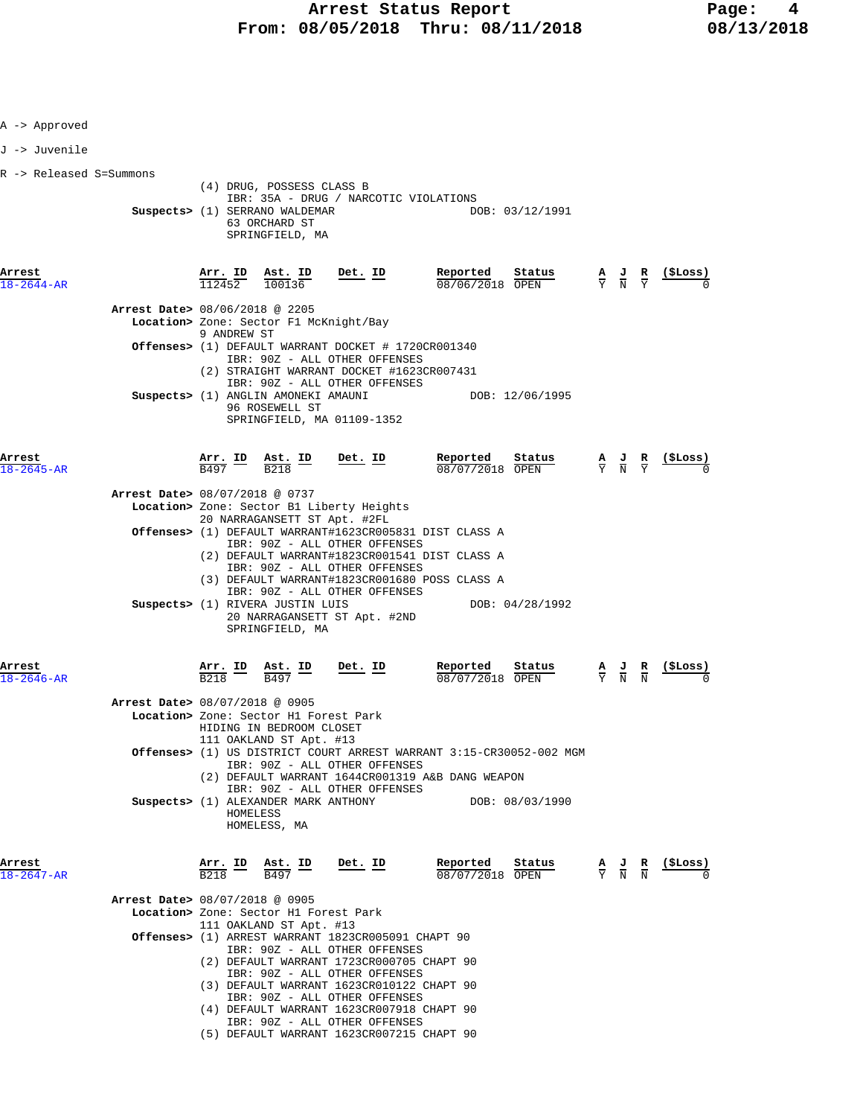| A -> Approved              |                                |                                          |                                                                                                                 |                                                                                                          |                                                                     |                                                                                                       |                 |
|----------------------------|--------------------------------|------------------------------------------|-----------------------------------------------------------------------------------------------------------------|----------------------------------------------------------------------------------------------------------|---------------------------------------------------------------------|-------------------------------------------------------------------------------------------------------|-----------------|
| J -> Juvenile              |                                |                                          |                                                                                                                 |                                                                                                          |                                                                     |                                                                                                       |                 |
| R -> Released S=Summons    |                                |                                          | (4) DRUG, POSSESS CLASS B                                                                                       |                                                                                                          |                                                                     |                                                                                                       |                 |
|                            |                                |                                          | Suspects> (1) SERRANO WALDEMAR<br>63 ORCHARD ST<br>SPRINGFIELD, MA                                              | IBR: 35A - DRUG / NARCOTIC VIOLATIONS                                                                    | DOB: 03/12/1991                                                     |                                                                                                       |                 |
| Arrest<br>18-2644-AR       |                                | Arr. ID<br>112452                        | Ast. ID<br>100136                                                                                               | Det. ID                                                                                                  | Reported<br>Status<br>08/06/2018 OPEN                               | $\frac{\mathbf{A}}{\overline{Y}}$ $\frac{\mathbf{J}}{\overline{N}}$ $\frac{\mathbf{R}}{\overline{Y}}$ | <u>(ŞLoss)</u>  |
|                            | Arrest Date> 08/06/2018 @ 2205 | 9 ANDREW ST                              | Location> Zone: Sector F1 McKnight/Bay                                                                          |                                                                                                          |                                                                     |                                                                                                       |                 |
|                            |                                |                                          |                                                                                                                 | <b>Offenses&gt;</b> (1) DEFAULT WARRANT DOCKET # 1720CR001340<br>IBR: 90Z - ALL OTHER OFFENSES           |                                                                     |                                                                                                       |                 |
|                            |                                |                                          | Suspects> (1) ANGLIN AMONEKI AMAUNI<br>96 ROSEWELL ST                                                           | (2) STRAIGHT WARRANT DOCKET #1623CR007431<br>IBR: 90Z - ALL OTHER OFFENSES<br>SPRINGFIELD, MA 01109-1352 | DOB: 12/06/1995                                                     |                                                                                                       |                 |
| Arrest<br>18-2645-AR       |                                | $\frac{\texttt{Arr.}}{\texttt{B497}}$ ID | $\frac{\text{Ast.}}{\text{D010}}$ ID<br>$\overline{B218}$                                                       | Det. ID                                                                                                  | Reported<br>Status<br>08/07/2018 OPEN                               | $\frac{A}{Y}$ $\frac{J}{N}$ $\frac{R}{Y}$                                                             |                 |
|                            | Arrest Date> 08/07/2018 @ 0737 |                                          |                                                                                                                 |                                                                                                          |                                                                     |                                                                                                       |                 |
|                            |                                |                                          | 20 NARRAGANSETT ST Apt. #2FL                                                                                    | Location> Zone: Sector B1 Liberty Heights                                                                |                                                                     |                                                                                                       |                 |
|                            |                                |                                          |                                                                                                                 | IBR: 90Z - ALL OTHER OFFENSES                                                                            | Offenses> (1) DEFAULT WARRANT#1623CR005831 DIST CLASS A             |                                                                                                       |                 |
|                            |                                |                                          |                                                                                                                 |                                                                                                          | (2) DEFAULT WARRANT#1823CR001541 DIST CLASS A                       |                                                                                                       |                 |
|                            |                                |                                          |                                                                                                                 | IBR: 90Z - ALL OTHER OFFENSES                                                                            | (3) DEFAULT WARRANT#1823CR001680 POSS CLASS A                       |                                                                                                       |                 |
|                            |                                |                                          | Suspects> (1) RIVERA JUSTIN LUIS<br>SPRINGFIELD, MA                                                             | IBR: 90Z - ALL OTHER OFFENSES<br>20 NARRAGANSETT ST Apt. #2ND                                            | DOB: 04/28/1992                                                     |                                                                                                       |                 |
| Arrest<br>18-2646-AR       |                                | <u>Arr. ID</u><br>B <sub>218</sub>       | <u>Ast. ID</u><br>B497                                                                                          | Det. ID                                                                                                  | Reported<br>Status<br>08/07/2018 OPEN                               | $\frac{\mathbf{A}}{\mathbf{Y}}$ $\frac{\mathbf{J}}{\mathbf{N}}$ $\frac{\mathbf{R}}{\mathbf{N}}$       | (ŞLoss)         |
|                            | Arrest Date> 08/07/2018 @ 0905 |                                          | Location> Zone: Sector H1 Forest Park<br>HIDING IN BEDROOM CLOSET                                               |                                                                                                          |                                                                     |                                                                                                       |                 |
|                            |                                |                                          | 111 OAKLAND ST Apt. #13                                                                                         | IBR: 90Z - ALL OTHER OFFENSES                                                                            | Offenses> (1) US DISTRICT COURT ARREST WARRANT 3:15-CR30052-002 MGM |                                                                                                       |                 |
|                            |                                |                                          |                                                                                                                 | IBR: 90Z - ALL OTHER OFFENSES                                                                            | (2) DEFAULT WARRANT 1644CR001319 A&B DANG WEAPON                    |                                                                                                       |                 |
|                            |                                | HOMELESS                                 | Suspects> (1) ALEXANDER MARK ANTHONY<br>HOMELESS, MA                                                            |                                                                                                          | DOB: 08/03/1990                                                     |                                                                                                       |                 |
| Arrest<br>$18 - 2647 - AR$ |                                |                                          | $\frac{\texttt{Arr.}}{\texttt{B218}}$ $\frac{\texttt{ID}}{\texttt{B497}}$ $\frac{\texttt{Est.}}{\texttt{B497}}$ | Det. ID                                                                                                  | Reported<br>Status<br>08/07/2018 OPEN                               | $\frac{\mathbf{A}}{\mathbf{Y}}$ $\frac{\mathbf{J}}{\mathbf{N}}$ $\frac{\mathbf{R}}{\mathbf{N}}$       | <u>(\$Loss)</u> |
|                            | Arrest Date> 08/07/2018 @ 0905 |                                          | Location> Zone: Sector H1 Forest Park                                                                           |                                                                                                          |                                                                     |                                                                                                       |                 |
|                            |                                |                                          | 111 OAKLAND ST Apt. #13                                                                                         |                                                                                                          |                                                                     |                                                                                                       |                 |
|                            |                                |                                          |                                                                                                                 | Offenses> (1) ARREST WARRANT 1823CR005091 CHAPT 90<br>IBR: 90Z - ALL OTHER OFFENSES                      |                                                                     |                                                                                                       |                 |
|                            |                                |                                          |                                                                                                                 | (2) DEFAULT WARRANT 1723CR000705 CHAPT 90<br>IBR: 90Z - ALL OTHER OFFENSES                               |                                                                     |                                                                                                       |                 |
|                            |                                |                                          |                                                                                                                 | (3) DEFAULT WARRANT 1623CR010122 CHAPT 90<br>IBR: 90Z - ALL OTHER OFFENSES                               |                                                                     |                                                                                                       |                 |
|                            |                                |                                          |                                                                                                                 | (4) DEFAULT WARRANT 1623CR007918 CHAPT 90                                                                |                                                                     |                                                                                                       |                 |
|                            |                                |                                          |                                                                                                                 | IBR: 90Z - ALL OTHER OFFENSES<br>(5) DEFAULT WARRANT 1623CR007215 CHAPT 90                               |                                                                     |                                                                                                       |                 |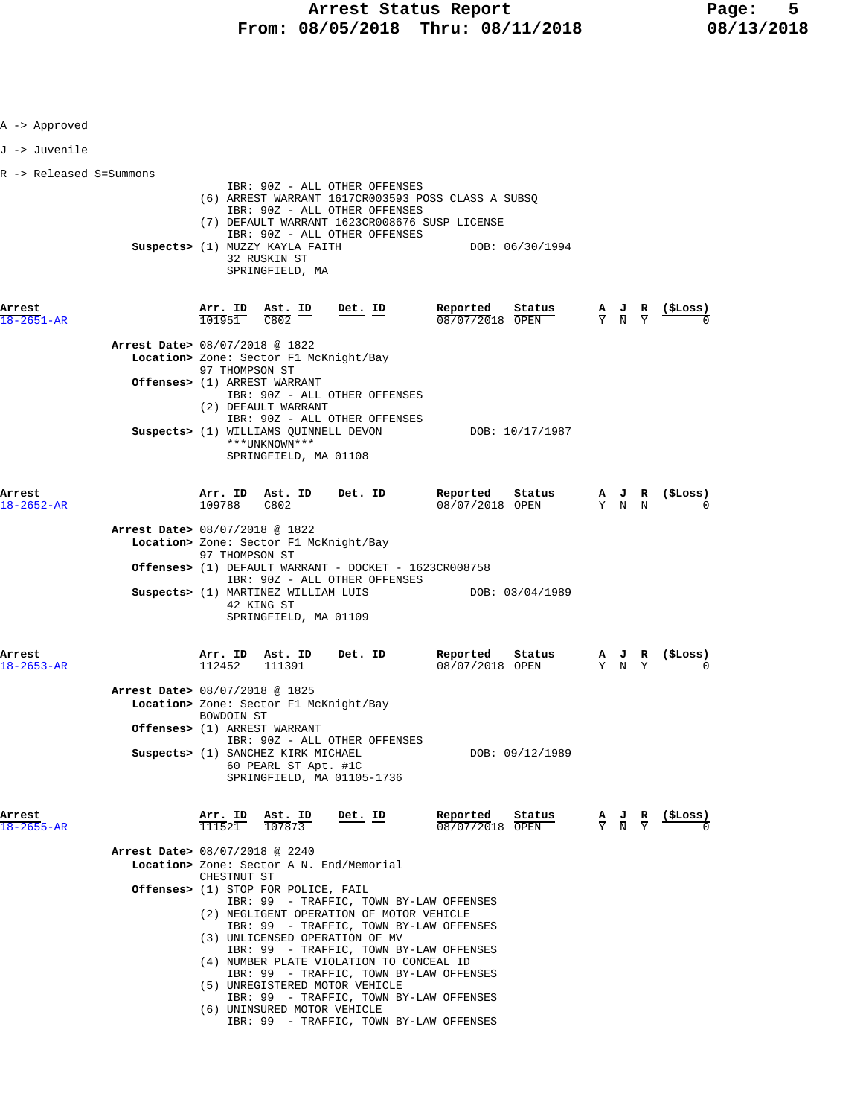| A -> Approved             |                                |                                |                                                                                            |                                                                                                                                                                                                                                                                                                                                                |                                                                       |                                                                                                 |                                                               |
|---------------------------|--------------------------------|--------------------------------|--------------------------------------------------------------------------------------------|------------------------------------------------------------------------------------------------------------------------------------------------------------------------------------------------------------------------------------------------------------------------------------------------------------------------------------------------|-----------------------------------------------------------------------|-------------------------------------------------------------------------------------------------|---------------------------------------------------------------|
| J -> Juvenile             |                                |                                |                                                                                            |                                                                                                                                                                                                                                                                                                                                                |                                                                       |                                                                                                 |                                                               |
| R -> Released S=Summons   |                                |                                |                                                                                            |                                                                                                                                                                                                                                                                                                                                                |                                                                       |                                                                                                 |                                                               |
|                           |                                |                                | Suspects> (1) MUZZY KAYLA FAITH<br>32 RUSKIN ST<br>SPRINGFIELD, MA                         | IBR: 90Z - ALL OTHER OFFENSES<br>IBR: 90Z - ALL OTHER OFFENSES<br>(7) DEFAULT WARRANT 1623CR008676 SUSP LICENSE<br>IBR: 90Z - ALL OTHER OFFENSES                                                                                                                                                                                               | (6) ARREST WARRANT 1617CR003593 POSS CLASS A SUBSQ<br>DOB: 06/30/1994 |                                                                                                 |                                                               |
| Arrest<br>18-2651-AR      |                                |                                | $\frac{\texttt{Arr.}}{101951}$ $\frac{\texttt{ Ast.}}{C802}$ $\frac{\texttt{ID}}{C}$       | <u>Det.</u> ID                                                                                                                                                                                                                                                                                                                                 | Reported<br>Status<br>08/07/2018 OPEN                                 |                                                                                                 | $\frac{A}{Y}$ $\frac{J}{N}$ $\frac{R}{Y}$ (\$Loss)            |
|                           | Arrest Date> 08/07/2018 @ 1822 | 97 THOMPSON ST                 | Offenses> (1) ARREST WARRANT<br>(2) DEFAULT WARRANT                                        | Location> Zone: Sector F1 McKnight/Bay<br>IBR: 90Z - ALL OTHER OFFENSES<br>IBR: 90Z - ALL OTHER OFFENSES                                                                                                                                                                                                                                       |                                                                       |                                                                                                 |                                                               |
|                           |                                |                                | Suspects> (1) WILLIAMS QUINNELL DEVON<br>***UNKNOWN***<br>SPRINGFIELD, MA 01108            |                                                                                                                                                                                                                                                                                                                                                | DOB: 10/17/1987                                                       |                                                                                                 |                                                               |
| Arrest<br>$8 - 2652 - AR$ |                                | $\frac{\texttt{Arr.}}{109788}$ | $\frac{\text{Ast.}}{\text{C802}}$ ID<br>C802                                               | <u>Det. ID</u>                                                                                                                                                                                                                                                                                                                                 | Reported<br><u>Status</u><br>08/07/2018 OPEN                          | $\frac{\mathbf{A}}{\mathbf{Y}}$ $\frac{\mathbf{J}}{\mathbf{N}}$ $\frac{\mathbf{R}}{\mathbf{N}}$ | $\frac{(\texttt{SLoss})}{0}$                                  |
|                           | Arrest Date> 08/07/2018 @ 1822 | 97 THOMPSON ST                 |                                                                                            | Location> Zone: Sector F1 McKnight/Bay<br>Offenses> (1) DEFAULT WARRANT - DOCKET - 1623CR008758                                                                                                                                                                                                                                                |                                                                       |                                                                                                 |                                                               |
|                           |                                |                                | Suspects> (1) MARTINEZ WILLIAM LUIS<br>42 KING ST<br>SPRINGFIELD, MA 01109                 | IBR: 90Z - ALL OTHER OFFENSES                                                                                                                                                                                                                                                                                                                  | DOB: 03/04/1989                                                       |                                                                                                 |                                                               |
| Arrest<br>$-2653 - AR$    |                                | <u>Arr. I</u> D<br>112452      | Ast. ID<br>111391                                                                          | $Det$ . ID                                                                                                                                                                                                                                                                                                                                     | Reported<br>$\frac{\text{Status}}{\text{start}}$<br>08/07/2018 OPEN   | $\frac{\mathbf{A}}{\mathbf{Y}}$ $\frac{\mathbf{J}}{\mathbf{N}}$ $\frac{\mathbf{R}}{\mathbf{Y}}$ |                                                               |
|                           | Arrest Date> 08/07/2018 @ 1825 | <b>BOWDOIN ST</b>              | Offenses> (1) ARREST WARRANT<br>Suspects> (1) SANCHEZ KIRK MICHAEL<br>60 PEARL ST Apt. #1C | Location> Zone: Sector F1 McKnight/Bay<br>IBR: 90Z - ALL OTHER OFFENSES<br>SPRINGFIELD, MA 01105-1736                                                                                                                                                                                                                                          | DOB: 09/12/1989                                                       |                                                                                                 |                                                               |
| Arrest<br>18-2655-AR      |                                |                                | Arr. ID Ast. ID<br>$\overline{111521}$ $\overline{107873}$                                 | Det. ID                                                                                                                                                                                                                                                                                                                                        | Reported<br>Status<br>08/07/2018 OPEN                                 |                                                                                                 | $\frac{A}{Y}$ $\frac{J}{N}$ $\frac{R}{Y}$ $\frac{($Loss)}{N}$ |
|                           | Arrest Date> 08/07/2018 @ 2240 | CHESTNUT ST                    | <b>Offenses&gt;</b> (1) STOP FOR POLICE, FAIL                                              | Location> Zone: Sector A N. End/Memorial<br>IBR: 99 - TRAFFIC, TOWN BY-LAW OFFENSES<br>(2) NEGLIGENT OPERATION OF MOTOR VEHICLE<br>IBR: 99 - TRAFFIC, TOWN BY-LAW OFFENSES<br>(3) UNLICENSED OPERATION OF MV<br>IBR: 99 - TRAFFIC, TOWN BY-LAW OFFENSES<br>(4) NUMBER PLATE VIOLATION TO CONCEAL ID<br>IBR: 99 - TRAFFIC, TOWN BY-LAW OFFENSES |                                                                       |                                                                                                 |                                                               |
|                           |                                |                                | (6) UNINSURED MOTOR VEHICLE                                                                | (5) UNREGISTERED MOTOR VEHICLE<br>IBR: 99 - TRAFFIC, TOWN BY-LAW OFFENSES<br>IBR: 99 - TRAFFIC, TOWN BY-LAW OFFENSES                                                                                                                                                                                                                           |                                                                       |                                                                                                 |                                                               |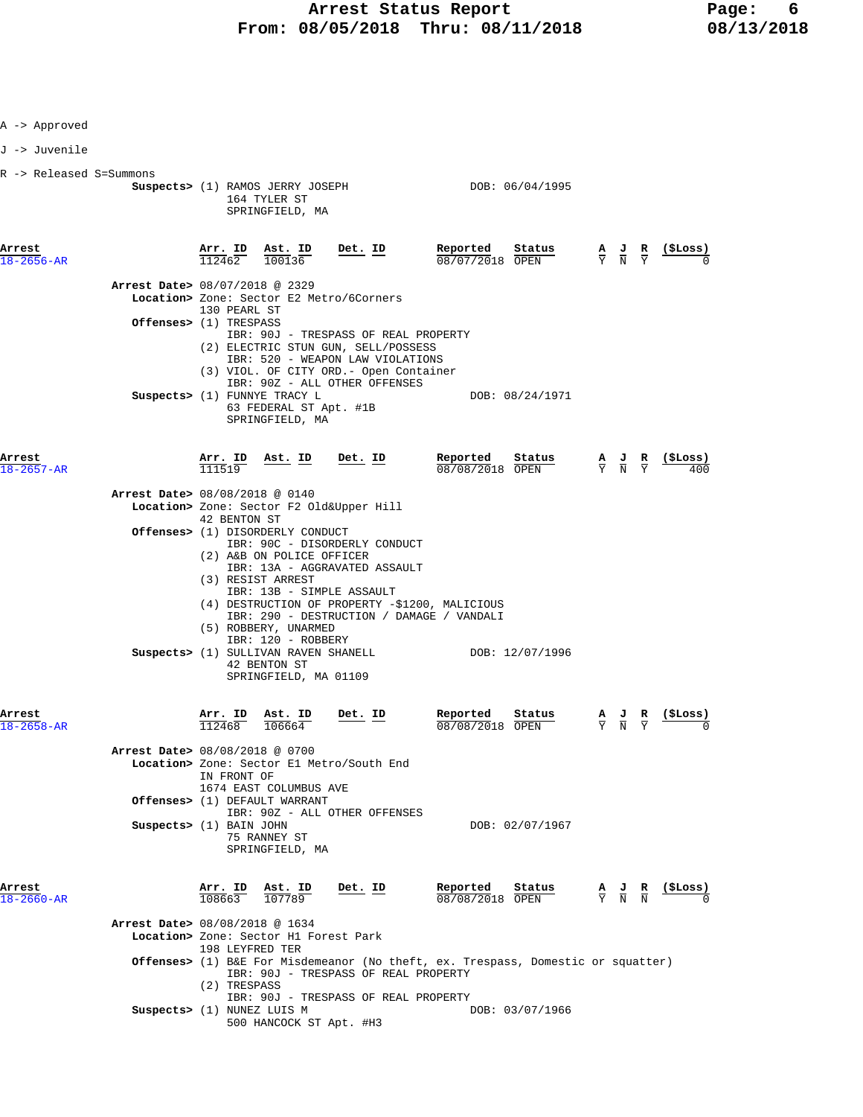| A -> Approved              |                                  |                          |                                                                                                                                                                                             |         |                                                                                                                                                                            |                 |        |                                                                                                 |                                                                                                                               |
|----------------------------|----------------------------------|--------------------------|---------------------------------------------------------------------------------------------------------------------------------------------------------------------------------------------|---------|----------------------------------------------------------------------------------------------------------------------------------------------------------------------------|-----------------|--------|-------------------------------------------------------------------------------------------------|-------------------------------------------------------------------------------------------------------------------------------|
| J -> Juvenile              |                                  |                          |                                                                                                                                                                                             |         |                                                                                                                                                                            |                 |        |                                                                                                 |                                                                                                                               |
| R -> Released S=Summons    |                                  |                          | Suspects> (1) RAMOS JERRY JOSEPH<br>164 TYLER ST<br>SPRINGFIELD, MA                                                                                                                         |         |                                                                                                                                                                            | DOB: 06/04/1995 |        |                                                                                                 |                                                                                                                               |
| Arrest<br>$18 - 2656 - AR$ |                                  | <u>Arr.</u> ID<br>112462 | Ast. ID<br>100136                                                                                                                                                                           | Det. ID | Reported<br>08/07/2018 OPEN                                                                                                                                                | Status          |        | $\frac{\mathbf{A}}{\mathbf{Y}}$ $\frac{\mathbf{J}}{\mathbf{N}}$ $\frac{\mathbf{R}}{\mathbf{Y}}$ | <u>(ŞLoss)</u>                                                                                                                |
|                            | Arrest Date> 08/07/2018 @ 2329   | 130 PEARL ST             | Location> Zone: Sector E2 Metro/6Corners                                                                                                                                                    |         |                                                                                                                                                                            |                 |        |                                                                                                 |                                                                                                                               |
|                            | <b>Offenses&gt;</b> (1) TRESPASS |                          | (2) ELECTRIC STUN GUN, SELL/POSSESS<br>IBR: 520 - WEAPON LAW VIOLATIONS<br>(3) VIOL. OF CITY ORD. - Open Container                                                                          |         | IBR: 90J - TRESPASS OF REAL PROPERTY                                                                                                                                       |                 |        |                                                                                                 |                                                                                                                               |
|                            |                                  |                          | IBR: 90Z - ALL OTHER OFFENSES<br>Suspects> (1) FUNNYE TRACY L<br>63 FEDERAL ST Apt. #1B<br>SPRINGFIELD, MA                                                                                  |         |                                                                                                                                                                            | DOB: 08/24/1971 |        |                                                                                                 |                                                                                                                               |
| Arrest<br>18-2657-AR       |                                  | <u>Arr.</u> ID<br>111519 | Ast. ID Det. ID                                                                                                                                                                             |         | Reported<br>08/08/2018 OPEN                                                                                                                                                | Status          |        | $\frac{\mathbf{A}}{\mathbf{Y}}$ $\frac{\mathbf{J}}{\mathbf{N}}$ $\frac{\mathbf{R}}{\mathbf{Y}}$ | (ŞLoss)                                                                                                                       |
|                            | Arrest Date> 08/08/2018 @ 0140   |                          | Location> Zone: Sector F2 Old&Upper Hill                                                                                                                                                    |         |                                                                                                                                                                            |                 |        |                                                                                                 |                                                                                                                               |
|                            |                                  | 42 BENTON ST             | <b>Offenses&gt;</b> (1) DISORDERLY CONDUCT                                                                                                                                                  |         |                                                                                                                                                                            |                 |        |                                                                                                 |                                                                                                                               |
|                            |                                  |                          | IBR: 90C - DISORDERLY CONDUCT<br>(2) A&B ON POLICE OFFICER<br>IBR: 13A - AGGRAVATED ASSAULT<br>(3) RESIST ARREST<br>IBR: 13B - SIMPLE ASSAULT<br>(5) ROBBERY, UNARMED<br>IBR: 120 - ROBBERY |         | (4) DESTRUCTION OF PROPERTY -\$1200, MALICIOUS<br>IBR: 290 - DESTRUCTION / DAMAGE / VANDALI                                                                                |                 |        |                                                                                                 |                                                                                                                               |
|                            |                                  |                          | Suspects> (1) SULLIVAN RAVEN SHANELL<br>42 BENTON ST<br>SPRINGFIELD, MA 01109                                                                                                               |         | DOB: 12/07/1996                                                                                                                                                            |                 |        |                                                                                                 |                                                                                                                               |
| Arrest                     |                                  | Arr. ID<br>112468        | Ast. ID<br>106664                                                                                                                                                                           | Det. ID | Reported<br>08/08/2018                                                                                                                                                     | Status<br>OPEN  | A<br>Y | $\frac{J}{N}$ $\frac{R}{Y}$                                                                     | (\$Loss)                                                                                                                      |
|                            | Arrest Date> 08/08/2018 @ 0700   | IN FRONT OF              | Location> Zone: Sector El Metro/South End<br>1674 EAST COLUMBUS AVE<br>Offenses> (1) DEFAULT WARRANT                                                                                        |         |                                                                                                                                                                            |                 |        |                                                                                                 |                                                                                                                               |
|                            | Suspects> (1) BAIN JOHN          |                          | IBR: 90Z - ALL OTHER OFFENSES<br>75 RANNEY ST<br>SPRINGFIELD, MA                                                                                                                            |         |                                                                                                                                                                            | DOB: 02/07/1967 |        |                                                                                                 |                                                                                                                               |
| Arrest<br>18-2660-AR       |                                  | Arr. ID<br>108663        | Ast. ID<br>107789                                                                                                                                                                           | Det. ID | Reported<br>08/08/2018 OPEN                                                                                                                                                | Status          |        |                                                                                                 | $\frac{\mathbf{A}}{\mathrm{Y}}$ $\frac{\mathbf{J}}{\mathrm{N}}$ $\frac{\mathbf{R}}{\mathrm{N}}$ $\frac{(\texttt{\$Loss})}{0}$ |
|                            | Arrest Date> 08/08/2018 @ 1634   | 198 LEYFRED TER          | Location> Zone: Sector H1 Forest Park                                                                                                                                                       |         |                                                                                                                                                                            |                 |        |                                                                                                 |                                                                                                                               |
|                            |                                  | (2) TRESPASS             |                                                                                                                                                                                             |         | <b>Offenses&gt;</b> (1) B&E For Misdemeanor (No theft, ex. Trespass, Domestic or squatter)<br>IBR: 90J - TRESPASS OF REAL PROPERTY<br>IBR: 90J - TRESPASS OF REAL PROPERTY |                 |        |                                                                                                 |                                                                                                                               |
|                            | Suspects> (1) NUNEZ LUIS M       |                          | 500 HANCOCK ST Apt. #H3                                                                                                                                                                     |         |                                                                                                                                                                            | DOB: 03/07/1966 |        |                                                                                                 |                                                                                                                               |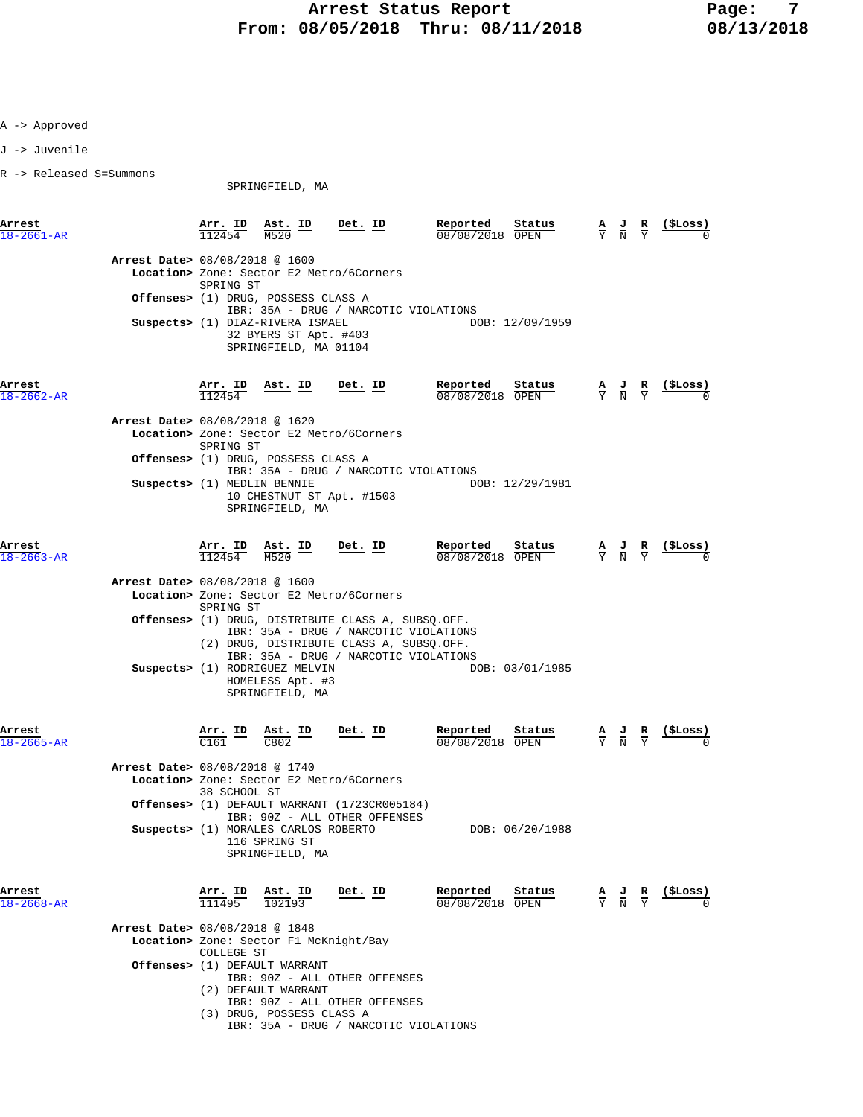J -> Juvenile

R -> Released S=Summons

SPRINGFIELD, MA

**Arrest Arr. ID Ast. ID Det. ID Reported Status A J R (\$Loss)** 18-2661-AR 112454 M520 08/08/2018 OPEN Y N Y 0  **Arrest Date>** 08/08/2018 @ 1600  **Location>** Zone: Sector E2 Metro/6Corners SPRING ST  **Offenses>** (1) DRUG, POSSESS CLASS A IBR: 35A - DRUG / NARCOTIC VIOLATIONS<br>DIAZ-RIVERA ISMAEL DOB: 12/09/1959 **Suspects>** (1) DIAZ-RIVERA ISMAEL 32 BYERS ST Apt. #403 SPRINGFIELD, MA 01104 **Arrest Arr. ID Ast. ID Det. ID Reported Status A J R (\$Loss)** 18-2662-AR 112454 08/08/2018 OPEN Y N Y 0  **Arrest Date>** 08/08/2018 @ 1620  **Location>** Zone: Sector E2 Metro/6Corners SPRING ST  **Offenses>** (1) DRUG, POSSESS CLASS A IBR: 35A - DRUG / NARCOTIC VIOLATIONS **Suspects>** (1) MEDLIN BENNIE 10 CHESTNUT ST Apt. #1503 SPRINGFIELD, MA **Arrest Arr. ID Ast. ID Det. ID Reported Status A J R (\$Loss)**  $\frac{18-2663-AR}{N}$  112454 M520 08/08/2018 OPEN  $\frac{12454}{N}$  0  **Arrest Date>** 08/08/2018 @ 1600  **Location>** Zone: Sector E2 Metro/6Corners SPRING ST  **Offenses>** (1) DRUG, DISTRIBUTE CLASS A, SUBSQ.OFF. IBR: 35A - DRUG / NARCOTIC VIOLATIONS (2) DRUG, DISTRIBUTE CLASS A, SUBSQ.OFF. IBR: 35A - DRUG / NARCOTIC VIOLATIONS **Suspects>** (1) RODRIGUEZ MELVIN DOB: 03/01/1985 HOMELESS Apt. #3 SPRINGFIELD, MA **Arrest Arr. ID Ast. ID Det. ID Reported Status A J R (\$Loss)** 18-2665-AR C161 C802 08/08/2018 OPEN Y N Y 0  **Arrest Date>** 08/08/2018 @ 1740  **Location>** Zone: Sector E2 Metro/6Corners 38 SCHOOL ST  **Offenses>** (1) DEFAULT WARRANT (1723CR005184) IBR: 90Z - ALL OTHER OFFENSES Suspects> (1) MORALES CARLOS ROBERTO DOB: 06/20/1988 116 SPRING ST SPRINGFIELD, MA **Arrest Arr. ID Ast. ID Det. ID Reported Status A J R (\$Loss)**  $\overline{111495}$   $\overline{102193}$   $\overline{108}/08/2018$   $\overline{OPEN}$   $\overline{Y}$   $\overline{N}$   $\overline{Y}$   $\overline{0}$   $0$  **Arrest Date>** 08/08/2018 @ 1848  **Location>** Zone: Sector F1 McKnight/Bay COLLEGE ST  **Offenses>** (1) DEFAULT WARRANT IBR: 90Z - ALL OTHER OFFENSES (2) DEFAULT WARRANT

- IBR: 90Z ALL OTHER OFFENSES
- (3) DRUG, POSSESS CLASS A IBR: 35A - DRUG / NARCOTIC VIOLATIONS
	-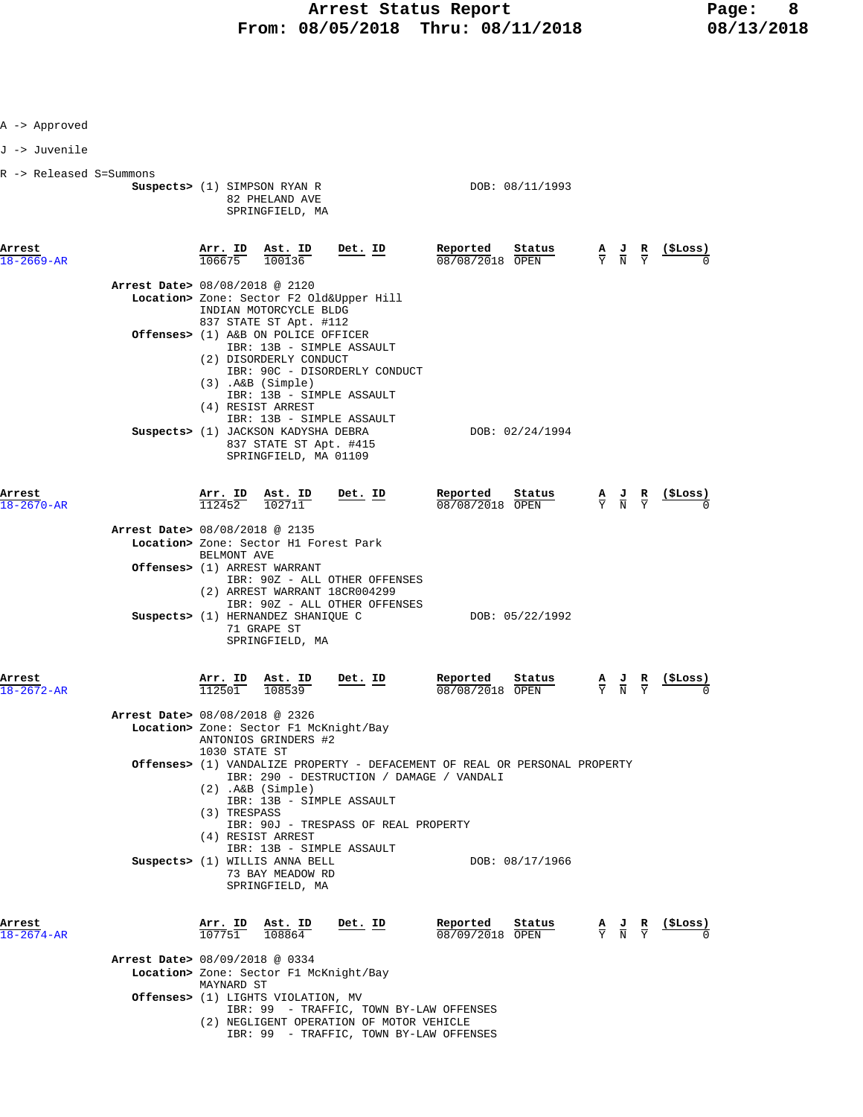| Approved |  |
|----------|--|
|----------|--|

J -> Juvenile

|  |  |  | R -> Released S=Summons |
|--|--|--|-------------------------|
|--|--|--|-------------------------|

| R -> Released S=Summons    |                                                                                                                                                                                                                                                                                                                                 |                                       |                                           |                                                                                                 |          |
|----------------------------|---------------------------------------------------------------------------------------------------------------------------------------------------------------------------------------------------------------------------------------------------------------------------------------------------------------------------------|---------------------------------------|-------------------------------------------|-------------------------------------------------------------------------------------------------|----------|
|                            | Suspects> (1) SIMPSON RYAN R<br>82 PHELAND AVE<br>SPRINGFIELD, MA                                                                                                                                                                                                                                                               | DOB: 08/11/1993                       |                                           |                                                                                                 |          |
| Arrest<br>$18 - 2669 - AR$ | $\frac{\text{Arr. ID}}{106675}$ $\frac{\text{Ast. ID}}{100136}$<br><u>Det. ID</u>                                                                                                                                                                                                                                               | Reported<br>Status<br>08/08/2018 OPEN | $\frac{A}{Y}$ $\frac{J}{N}$ $\frac{R}{Y}$ |                                                                                                 | (\$Loss) |
|                            | Arrest Date> 08/08/2018 @ 2120                                                                                                                                                                                                                                                                                                  |                                       |                                           |                                                                                                 |          |
|                            | Location> Zone: Sector F2 Old&Upper Hill                                                                                                                                                                                                                                                                                        |                                       |                                           |                                                                                                 |          |
|                            | INDIAN MOTORCYCLE BLDG<br>837 STATE ST Apt. #112<br>Offenses> (1) A&B ON POLICE OFFICER<br>IBR: 13B - SIMPLE ASSAULT<br>(2) DISORDERLY CONDUCT<br>IBR: 90C - DISORDERLY CONDUCT<br>$(3)$ . A&B $(Simple)$<br>IBR: 13B - SIMPLE ASSAULT<br>(4) RESIST ARREST<br>IBR: 13B - SIMPLE ASSAULT<br>Suspects> (1) JACKSON KADYSHA DEBRA | DOB: 02/24/1994                       |                                           |                                                                                                 |          |
| Arrest<br>$18 - 2670 - AR$ | 837 STATE ST Apt. #415<br>SPRINGFIELD, MA 01109<br>$\frac{\text{Arr.}}{112452}$ $\frac{\text{lb}}{102711}$<br>Det. ID<br>Arrest Date> 08/08/2018 @ 2135                                                                                                                                                                         | Reported<br>Status<br>08/08/2018 OPEN |                                           | $\frac{\mathbf{A}}{\mathbf{Y}}$ $\frac{\mathbf{J}}{\mathbf{N}}$ $\frac{\mathbf{R}}{\mathbf{Y}}$ | (SLoss)  |
|                            | Location> Zone: Sector H1 Forest Park                                                                                                                                                                                                                                                                                           |                                       |                                           |                                                                                                 |          |
|                            | BELMONT AVE<br>Offenses> (1) ARREST WARRANT<br>IBR: 90Z - ALL OTHER OFFENSES<br>(2) ARREST WARRANT 18CR004299<br>IBR: 90Z - ALL OTHER OFFENSES                                                                                                                                                                                  |                                       |                                           |                                                                                                 |          |
|                            | $Chenades (1) HFDMANDFZ CHANTOHF C$                                                                                                                                                                                                                                                                                             | DOP: 05/22/1002                       |                                           |                                                                                                 |          |

| Arres |  |
|-------|--|
|       |  |

|                            | Suspects> (1) HERNANDEZ SHANIQUE C<br>71 GRAPE ST<br>SPRINGFIELD, MA                                                                                                                                       | DOB: 05/22/1992                                                            |                                           |         |
|----------------------------|------------------------------------------------------------------------------------------------------------------------------------------------------------------------------------------------------------|----------------------------------------------------------------------------|-------------------------------------------|---------|
| Arrest<br>$18 - 2672 - AR$ | Arr. ID Ast. ID<br>Det. ID<br>112501<br>108539                                                                                                                                                             | Reported Status<br>08/08/2018 OPEN                                         | $\frac{A}{Y}$ $\frac{J}{N}$ $\frac{R}{Y}$ | (SLoss) |
|                            | Arrest Date> 08/08/2018 @ 2326                                                                                                                                                                             |                                                                            |                                           |         |
|                            | Location> Zone: Sector F1 McKnight/Bay<br>ANTONIOS GRINDERS #2<br>1030 STATE ST                                                                                                                            |                                                                            |                                           |         |
|                            | IBR: 290 - DESTRUCTION / DAMAGE / VANDALI<br>$(2)$ . A&B $(Simple)$<br>IBR: 13B - SIMPLE ASSAULT<br>(3) TRESPASS<br>IBR: 90J - TRESPASS OF REAL PROPERTY<br>(4) RESIST ARREST<br>IBR: 13B - SIMPLE ASSAULT | Offenses> (1) VANDALIZE PROPERTY - DEFACEMENT OF REAL OR PERSONAL PROPERTY |                                           |         |
|                            | Suspects> (1) WILLIS ANNA BELL<br>73 BAY MEADOW RD<br>SPRINGFIELD, MA                                                                                                                                      | DOB: 08/17/1966                                                            |                                           |         |
| Arrest<br>$18 - 2674 - AR$ | Arr. ID Ast. ID<br>Det. ID<br>107751<br>108864                                                                                                                                                             | Reported<br>Status<br>08/09/2018 OPEN                                      | $\frac{A}{Y}$ $\frac{J}{N}$ $\frac{R}{Y}$ | (SLoss) |
|                            | Arrest Date> 08/09/2018 @ 0334<br>Logations Zone: Costor F1 Maknight /Pay                                                                                                                                  |                                                                            |                                           |         |

 **Location>** Zone: Sector F1 McKnight/Bay MAYNARD ST  **Offenses>** (1) LIGHTS VIOLATION, MV IBR: 99 - TRAFFIC, TOWN BY-LAW OFFENSES (2) NEGLIGENT OPERATION OF MOTOR VEHICLE

IBR: 99 - TRAFFIC, TOWN BY-LAW OFFENSES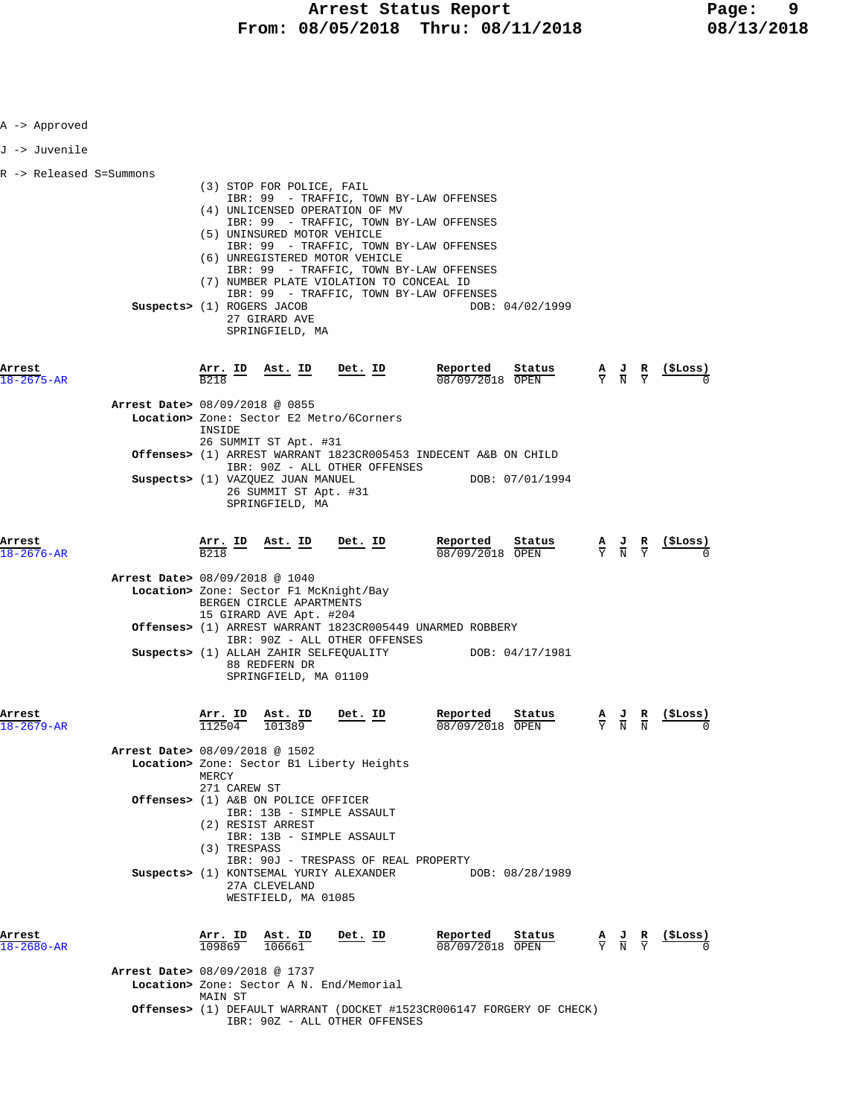| A -> Approved           |                                          |                              |                                                                                                                    |                                                                                                                                                                                                                                                                                                                                     |                                                                                 |                                                                                                 |                                           |                                                               |
|-------------------------|------------------------------------------|------------------------------|--------------------------------------------------------------------------------------------------------------------|-------------------------------------------------------------------------------------------------------------------------------------------------------------------------------------------------------------------------------------------------------------------------------------------------------------------------------------|---------------------------------------------------------------------------------|-------------------------------------------------------------------------------------------------|-------------------------------------------|---------------------------------------------------------------|
| J -> Juvenile           |                                          |                              |                                                                                                                    |                                                                                                                                                                                                                                                                                                                                     |                                                                                 |                                                                                                 |                                           |                                                               |
| R -> Released S=Summons | Suspects> (1) ROGERS JACOB               |                              | (3) STOP FOR POLICE, FAIL<br>(5) UNINSURED MOTOR VEHICLE<br>27 GIRARD AVE<br>SPRINGFIELD, MA                       | IBR: 99 - TRAFFIC, TOWN BY-LAW OFFENSES<br>(4) UNLICENSED OPERATION OF MV<br>IBR: 99 - TRAFFIC, TOWN BY-LAW OFFENSES<br>IBR: 99 - TRAFFIC, TOWN BY-LAW OFFENSES<br>(6) UNREGISTERED MOTOR VEHICLE<br>IBR: 99 - TRAFFIC, TOWN BY-LAW OFFENSES<br>(7) NUMBER PLATE VIOLATION TO CONCEAL ID<br>IBR: 99 - TRAFFIC, TOWN BY-LAW OFFENSES | DOB: 04/02/1999                                                                 |                                                                                                 |                                           |                                                               |
| Arrest<br>18-2675-AR    |                                          | B <sub>218</sub>             |                                                                                                                    | $\frac{\text{Arr.}}{\frac{D}{D} \cdot 18}$ ID Ast. ID Det. ID                                                                                                                                                                                                                                                                       | Reported Status<br>08/09/2018 OPEN                                              |                                                                                                 | $\frac{A}{Y}$ $\frac{J}{N}$ $\frac{R}{Y}$ | <u>(SLoss)</u>                                                |
|                         | <b>Arrest Date&gt;</b> 08/09/2018 @ 0855 | INSIDE                       | 26 SUMMIT ST Apt. #31                                                                                              | Location> Zone: Sector E2 Metro/6Corners                                                                                                                                                                                                                                                                                            |                                                                                 |                                                                                                 |                                           |                                                               |
|                         |                                          |                              |                                                                                                                    | IBR: 90Z - ALL OTHER OFFENSES                                                                                                                                                                                                                                                                                                       | Offenses> (1) ARREST WARRANT 1823CR005453 INDECENT A&B ON CHILD                 |                                                                                                 |                                           |                                                               |
|                         |                                          |                              | Suspects> (1) VAZQUEZ JUAN MANUEL<br>26 SUMMIT ST Apt. #31<br>SPRINGFIELD, MA                                      |                                                                                                                                                                                                                                                                                                                                     | DOB: 07/01/1994                                                                 |                                                                                                 |                                           |                                                               |
| Arrest<br>18-2676-AR    |                                          | <b>B218</b>                  |                                                                                                                    | Arr. ID Ast. ID Det. ID Reported<br>$\frac{1}{12}$ Reported<br>$\frac{1}{12}$ $\frac{1}{12}$ $\frac{1}{12}$ $\frac{1}{12}$ $\frac{1}{12}$                                                                                                                                                                                           | 08/09/2018 OPEN                                                                 | Status                                                                                          |                                           | $\frac{A}{Y}$ $\frac{J}{N}$ $\frac{R}{Y}$ $\frac{($Loss)}{0}$ |
|                         | Arrest Date> 08/09/2018 @ 1040           |                              | Location> Zone: Sector F1 McKnight/Bay<br>BERGEN CIRCLE APARTMENTS<br>15 GIRARD AVE Apt. #204                      |                                                                                                                                                                                                                                                                                                                                     |                                                                                 |                                                                                                 |                                           |                                                               |
|                         |                                          |                              | Suspects> (1) ALLAH ZAHIR SELFEQUALITY<br>88 REDFERN DR<br>SPRINGFIELD, MA 01109                                   | <b>Offenses&gt;</b> (1) ARREST WARRANT 1823CR005449 UNARMED ROBBERY<br>IBR: 90Z - ALL OTHER OFFENSES                                                                                                                                                                                                                                | DOB: 04/17/1981                                                                 |                                                                                                 |                                           |                                                               |
| Arrest<br>18–2679–AR    |                                          | Arr. ID<br>112504            | Ast. ID<br>101389                                                                                                  | Det. ID                                                                                                                                                                                                                                                                                                                             | Reported<br>08/09/2018 OPEN                                                     | Status                                                                                          | Y N N                                     | $\underline{A}$ $\underline{J}$ $\underline{R}$ (\$Loss)<br>0 |
|                         | Arrest Date> 08/09/2018 @ 1502           | MERCY                        |                                                                                                                    | Location> Zone: Sector B1 Liberty Heights                                                                                                                                                                                                                                                                                           |                                                                                 |                                                                                                 |                                           |                                                               |
|                         |                                          | 271 CAREW ST<br>(3) TRESPASS | Offenses> (1) A&B ON POLICE OFFICER<br>IBR: 13B - SIMPLE ASSAULT<br>(2) RESIST ARREST<br>IBR: 13B - SIMPLE ASSAULT | IBR: 90J - TRESPASS OF REAL PROPERTY                                                                                                                                                                                                                                                                                                |                                                                                 |                                                                                                 |                                           |                                                               |
| Arrest                  |                                          |                              | 27A CLEVELAND<br>WESTFIELD, MA 01085<br><u>Arr. ID Ast. ID</u>                                                     | Suspects> (1) KONTSEMAL YURIY ALEXANDER<br>Det. ID                                                                                                                                                                                                                                                                                  | DOB: 08/28/1989<br>Reported                                                     | Status                                                                                          |                                           | <u>(ŞLoss)</u>                                                |
| 18-2680-AR              |                                          | 109869                       | 106661                                                                                                             |                                                                                                                                                                                                                                                                                                                                     | 08/09/2018 OPEN                                                                 | $\frac{\mathbf{A}}{\mathbf{Y}}$ $\frac{\mathbf{J}}{\mathbf{N}}$ $\frac{\mathbf{R}}{\mathbf{Y}}$ |                                           |                                                               |
|                         | Arrest Date> 08/09/2018 @ 1737           | MAIN ST                      |                                                                                                                    | Location> Zone: Sector A N. End/Memorial                                                                                                                                                                                                                                                                                            |                                                                                 |                                                                                                 |                                           |                                                               |
|                         |                                          |                              |                                                                                                                    | IBR: 90Z - ALL OTHER OFFENSES                                                                                                                                                                                                                                                                                                       | <b>Offenses&gt;</b> (1) DEFAULT WARRANT (DOCKET #1523CR006147 FORGERY OF CHECK) |                                                                                                 |                                           |                                                               |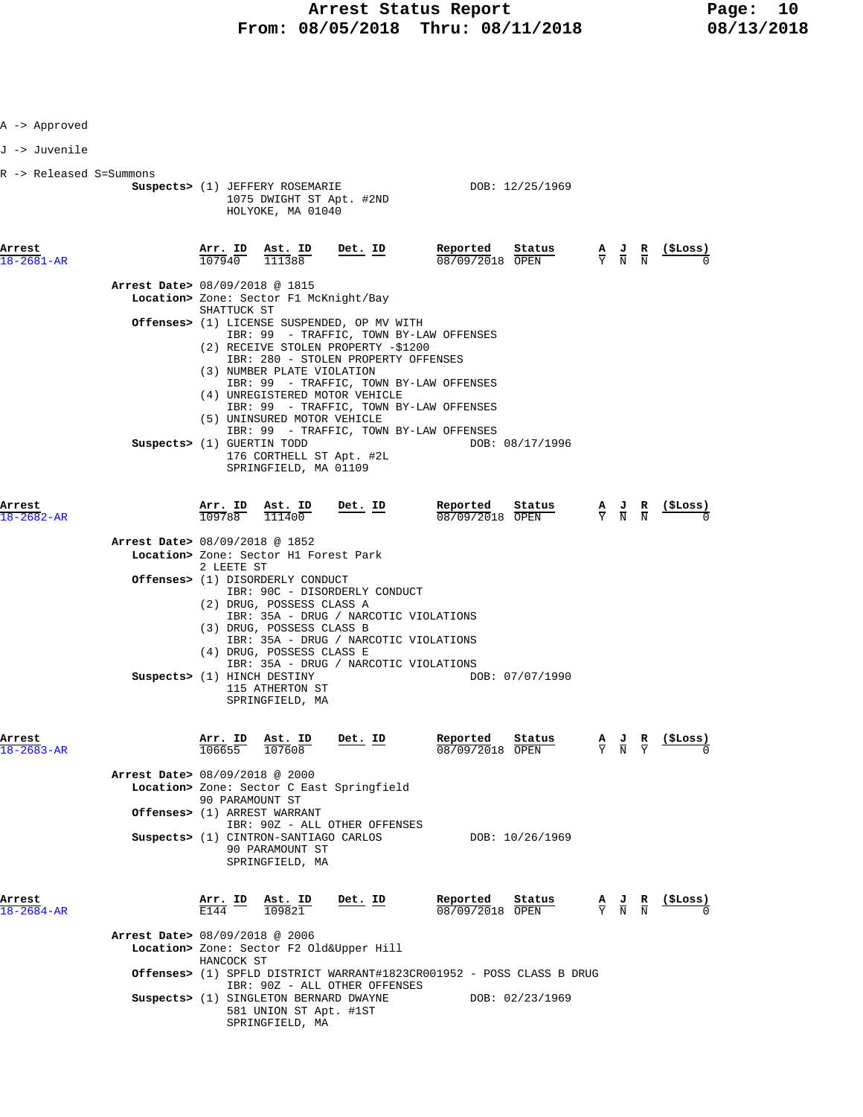| A -> Approved              |                                          |                                               |                                                                                                                                                                                   |         |                             |                                                                       |                                                                                                 |                                           |                |
|----------------------------|------------------------------------------|-----------------------------------------------|-----------------------------------------------------------------------------------------------------------------------------------------------------------------------------------|---------|-----------------------------|-----------------------------------------------------------------------|-------------------------------------------------------------------------------------------------|-------------------------------------------|----------------|
| J -> Juvenile              |                                          |                                               |                                                                                                                                                                                   |         |                             |                                                                       |                                                                                                 |                                           |                |
| R -> Released S=Summons    |                                          |                                               | Suspects> (1) JEFFERY ROSEMARIE<br>1075 DWIGHT ST Apt. #2ND<br>HOLYOKE, MA 01040                                                                                                  |         |                             | DOB: 12/25/1969                                                       |                                                                                                 |                                           |                |
| Arrest<br>18-2681-AR       |                                          |                                               | $\frac{\text{Arr. ID}}{107940}$ $\frac{\text{Ast. ID}}{111388}$                                                                                                                   | Det. ID | Reported<br>08/09/2018 OPEN | Status                                                                |                                                                                                 | $\frac{A}{Y}$ $\frac{J}{N}$ $\frac{R}{N}$ | $($ \$Loss)    |
|                            | <b>Arrest Date&gt; 08/09/2018 @ 1815</b> | SHATTUCK ST                                   | Location> Zone: Sector F1 McKnight/Bay                                                                                                                                            |         |                             |                                                                       |                                                                                                 |                                           |                |
|                            |                                          |                                               | Offenses> (1) LICENSE SUSPENDED, OP MV WITH<br>IBR: 99 - TRAFFIC, TOWN BY-LAW OFFENSES<br>(2) RECEIVE STOLEN PROPERTY -\$1200<br>IBR: 280 - STOLEN PROPERTY OFFENSES              |         |                             |                                                                       |                                                                                                 |                                           |                |
|                            |                                          |                                               | (3) NUMBER PLATE VIOLATION<br>IBR: 99 - TRAFFIC, TOWN BY-LAW OFFENSES<br>(4) UNREGISTERED MOTOR VEHICLE<br>IBR: 99 - TRAFFIC, TOWN BY-LAW OFFENSES<br>(5) UNINSURED MOTOR VEHICLE |         |                             |                                                                       |                                                                                                 |                                           |                |
|                            | Suspects> (1) GUERTIN TODD               |                                               | IBR: 99 - TRAFFIC, TOWN BY-LAW OFFENSES<br>176 CORTHELL ST Apt. #2L<br>SPRINGFIELD, MA 01109                                                                                      |         |                             | DOB: 08/17/1996                                                       |                                                                                                 |                                           |                |
| Arrest<br>$18 - 2682 - AR$ |                                          |                                               | Arr. ID Ast. ID<br>109788 111400                                                                                                                                                  | Det. ID | Reported<br>08/09/2018 OPEN | Status                                                                |                                                                                                 | $\frac{A}{Y}$ $\frac{J}{N}$ $\frac{R}{N}$ |                |
|                            | Arrest Date> 08/09/2018 @ 1852           |                                               | Location> Zone: Sector H1 Forest Park                                                                                                                                             |         |                             |                                                                       |                                                                                                 |                                           |                |
|                            |                                          | 2 LEETE ST                                    | <b>Offenses&gt;</b> (1) DISORDERLY CONDUCT<br>IBR: 90C - DISORDERLY CONDUCT<br>(2) DRUG, POSSESS CLASS A                                                                          |         |                             |                                                                       |                                                                                                 |                                           |                |
|                            |                                          |                                               | IBR: 35A - DRUG / NARCOTIC VIOLATIONS<br>(3) DRUG, POSSESS CLASS B<br>IBR: 35A - DRUG / NARCOTIC VIOLATIONS<br>(4) DRUG, POSSESS CLASS E                                          |         |                             |                                                                       |                                                                                                 |                                           |                |
|                            |                                          |                                               | IBR: 35A - DRUG / NARCOTIC VIOLATIONS<br>Suspects> (1) HINCH DESTINY<br>115 ATHERTON ST<br>SPRINGFIELD, MA                                                                        |         |                             | DOB: 07/07/1990                                                       |                                                                                                 |                                           |                |
| Arrest<br>$18 - 2683 - AR$ |                                          | <b>Arr. ID</b><br>106655                      | $\frac{\texttt{Ast.}}{107608}$                                                                                                                                                    | Det. ID | Reported<br>08/09/2018 OPEN | Status                                                                |                                                                                                 | $\frac{A}{Y}$ $\frac{J}{N}$ $\frac{R}{Y}$ | ( \$Loss )     |
|                            | Arrest Date> 08/09/2018 @ 2000           | 90 PARAMOUNT ST                               | Location> Zone: Sector C East Springfield                                                                                                                                         |         |                             |                                                                       |                                                                                                 |                                           |                |
|                            |                                          |                                               | Offenses> (1) ARREST WARRANT<br>IBR: 90Z - ALL OTHER OFFENSES<br>Suspects> (1) CINTRON-SANTIAGO CARLOS<br>90 PARAMOUNT ST<br>SPRINGFIELD, MA                                      |         |                             | DOB: 10/26/1969                                                       |                                                                                                 |                                           |                |
| Arrest<br>$18 - 2684 - AR$ |                                          | $\frac{\text{Arr.}}{\text{E144}}$ ID<br>F.144 | $\frac{\texttt{Ast. ID}}{109821}$                                                                                                                                                 | Det. ID | Reported<br>08/09/2018 OPEN | Status                                                                | $\frac{\mathbf{A}}{\mathbf{Y}}$ $\frac{\mathbf{J}}{\mathbf{N}}$ $\frac{\mathbf{R}}{\mathbf{N}}$ |                                           | <u>(SLoss)</u> |
|                            | Arrest Date> 08/09/2018 @ 2006           | HANCOCK ST                                    | Location> Zone: Sector F2 Old&Upper Hill                                                                                                                                          |         |                             |                                                                       |                                                                                                 |                                           |                |
|                            |                                          |                                               | IBR: 90Z - ALL OTHER OFFENSES                                                                                                                                                     |         |                             | Offenses> (1) SPFLD DISTRICT WARRANT#1823CR001952 - POSS CLASS B DRUG |                                                                                                 |                                           |                |
|                            |                                          |                                               | Suspects> (1) SINGLETON BERNARD DWAYNE<br>581 UNION ST Apt. #1ST<br>SPRINGFIELD, MA                                                                                               |         |                             | DOB: 02/23/1969                                                       |                                                                                                 |                                           |                |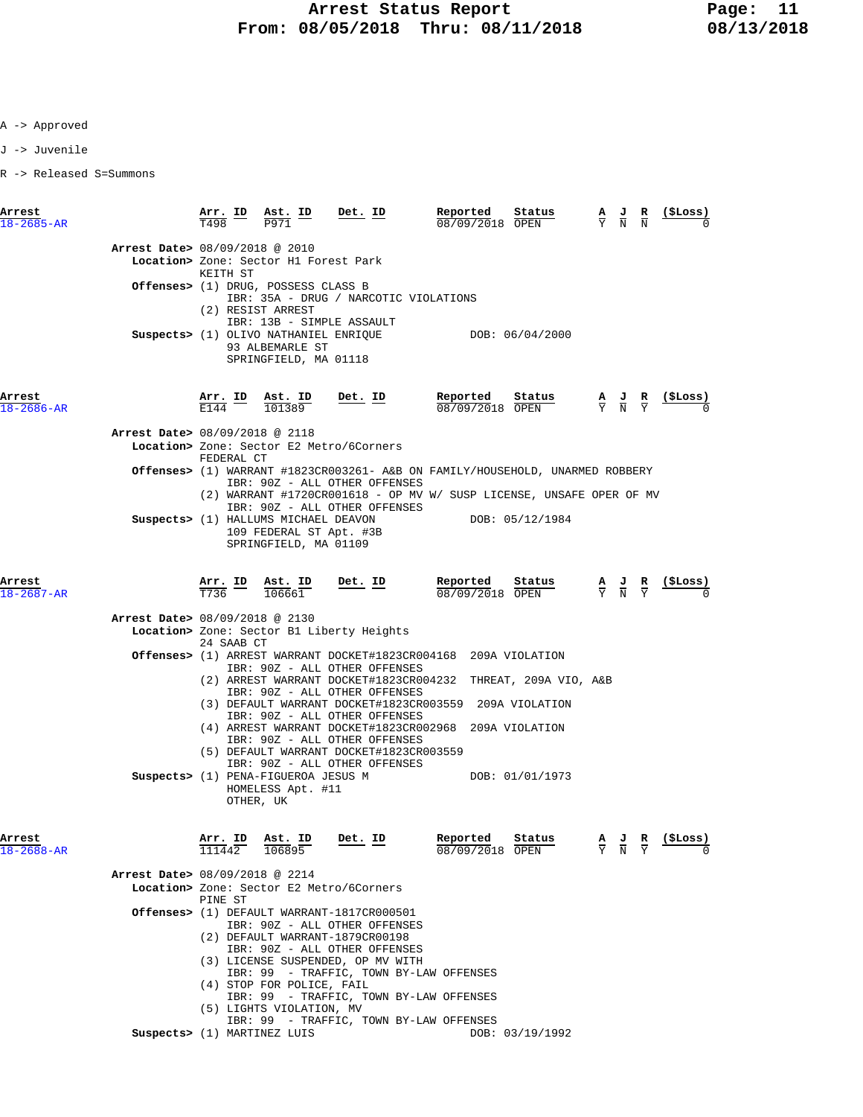J -> Juvenile

R -> Released S=Summons

| Arrest<br>$18 - 2685 - AR$ |                                | $\frac{\texttt{Arr.}}{\texttt{T498}}$ $\frac{\texttt{ID}}{\texttt{I}}$ | Ast. ID<br>P971                                                       | Det. ID                                                                                                        | Reported<br>08/09/2018 OPEN                                                                                   | Status          | $\frac{A}{Y}$ $\frac{J}{N}$                                                                     |   | (ŞLoss)          |
|----------------------------|--------------------------------|------------------------------------------------------------------------|-----------------------------------------------------------------------|----------------------------------------------------------------------------------------------------------------|---------------------------------------------------------------------------------------------------------------|-----------------|-------------------------------------------------------------------------------------------------|---|------------------|
|                            | Arrest Date> 08/09/2018 @ 2010 |                                                                        | Location> Zone: Sector H1 Forest Park                                 |                                                                                                                |                                                                                                               |                 |                                                                                                 |   |                  |
|                            |                                | KEITH ST                                                               | Offenses> (1) DRUG, POSSESS CLASS B<br>(2) RESIST ARREST              | IBR: 35A - DRUG / NARCOTIC VIOLATIONS                                                                          |                                                                                                               |                 |                                                                                                 |   |                  |
|                            |                                |                                                                        | IBR: 13B - SIMPLE ASSAULT<br>93 ALBEMARLE ST<br>SPRINGFIELD, MA 01118 | Suspects> (1) OLIVO NATHANIEL ENRIQUE                                                                          |                                                                                                               | DOB: 06/04/2000 |                                                                                                 |   |                  |
| Arrest<br>18-2686-AR       |                                |                                                                        |                                                                       | $\frac{\texttt{Arr.}}{\texttt{E144}}$ ID $\frac{\texttt{Ast.}}{101389}$ Det. ID                                | Reported<br>08/09/2018 OPEN                                                                                   | Status          | $\frac{\mathbf{A}}{\mathbf{Y}}$ $\frac{\mathbf{J}}{\mathbf{N}}$ $\frac{\mathbf{R}}{\mathbf{Y}}$ |   | <u>( ŞLoss )</u> |
|                            | Arrest Date> 08/09/2018 @ 2118 |                                                                        |                                                                       |                                                                                                                |                                                                                                               |                 |                                                                                                 |   |                  |
|                            |                                |                                                                        |                                                                       | Location> Zone: Sector E2 Metro/6Corners                                                                       |                                                                                                               |                 |                                                                                                 |   |                  |
|                            |                                | FEDERAL CT                                                             |                                                                       | Offenses> (1) WARRANT #1823CR003261- A&B ON FAMILY/HOUSEHOLD, UNARMED ROBBERY                                  |                                                                                                               |                 |                                                                                                 |   |                  |
|                            |                                |                                                                        |                                                                       | IBR: 90Z - ALL OTHER OFFENSES<br>(2) WARRANT #1720CR001618 - OP MV W/ SUSP LICENSE, UNSAFE OPER OF MV          |                                                                                                               |                 |                                                                                                 |   |                  |
|                            |                                |                                                                        | Suspects> (1) HALLUMS MICHAEL DEAVON<br>109 FEDERAL ST Apt. #3B       | IBR: 90Z - ALL OTHER OFFENSES                                                                                  |                                                                                                               | DOB: 05/12/1984 |                                                                                                 |   |                  |
|                            |                                |                                                                        | SPRINGFIELD, MA 01109                                                 |                                                                                                                |                                                                                                               |                 |                                                                                                 |   |                  |
| Arrest<br>$18 - 2687 - AR$ |                                | T736                                                                   | Arr. ID Ast. ID<br>106661                                             | <u>Det. ID</u>                                                                                                 | Reported Status<br>$\frac{1.6 \text{ FU L} \cdot \text{CU}}{08/09/2018}$ $\frac{\text{stackus}}{\text{OFEN}}$ |                 | $\frac{A}{Y}$ $\frac{J}{N}$ $\frac{R}{Y}$                                                       |   | (ŞLoss)          |
|                            | Arrest Date> 08/09/2018 @ 2130 |                                                                        |                                                                       |                                                                                                                |                                                                                                               |                 |                                                                                                 |   |                  |
|                            |                                |                                                                        |                                                                       | Location> Zone: Sector B1 Liberty Heights                                                                      |                                                                                                               |                 |                                                                                                 |   |                  |
|                            |                                | 24 SAAB CT                                                             |                                                                       | Offenses> (1) ARREST WARRANT DOCKET#1823CR004168 209A VIOLATION                                                |                                                                                                               |                 |                                                                                                 |   |                  |
|                            |                                |                                                                        |                                                                       | IBR: 90Z - ALL OTHER OFFENSES                                                                                  |                                                                                                               |                 |                                                                                                 |   |                  |
|                            |                                |                                                                        |                                                                       | (2) ARREST WARRANT DOCKET#1823CR004232 THREAT, 209A VIO, A&B<br>IBR: 90Z - ALL OTHER OFFENSES                  |                                                                                                               |                 |                                                                                                 |   |                  |
|                            |                                |                                                                        |                                                                       | (3) DEFAULT WARRANT DOCKET#1823CR003559 209A VIOLATION<br>IBR: 90Z - ALL OTHER OFFENSES                        |                                                                                                               |                 |                                                                                                 |   |                  |
|                            |                                |                                                                        |                                                                       | (4) ARREST WARRANT DOCKET#1823CR002968 209A VIOLATION<br>IBR: 90Z - ALL OTHER OFFENSES                         |                                                                                                               |                 |                                                                                                 |   |                  |
|                            |                                |                                                                        |                                                                       | (5) DEFAULT WARRANT DOCKET#1823CR003559                                                                        |                                                                                                               |                 |                                                                                                 |   |                  |
|                            |                                |                                                                        | HOMELESS Apt. #11<br>OTHER, UK                                        | IBR: 90Z - ALL OTHER OFFENSES<br>Suspects> (1) PENA-FIGUEROA JESUS M                                           | DOB: 01/01/1973                                                                                               |                 |                                                                                                 |   |                  |
| Arrest                     |                                | ID<br>Arr.                                                             | Ast. ID                                                               | Det. ID                                                                                                        | Reported                                                                                                      | Status          | $\frac{J}{N}$                                                                                   | R | (ŞLoss)          |
| 18-2688-AR                 |                                | 111442                                                                 | 106895                                                                |                                                                                                                | 08/09/2018 OPEN                                                                                               |                 |                                                                                                 |   |                  |
|                            | Arrest Date> 08/09/2018 @ 2214 |                                                                        |                                                                       |                                                                                                                |                                                                                                               |                 |                                                                                                 |   |                  |
|                            |                                | PINE ST                                                                |                                                                       | Location> Zone: Sector E2 Metro/6Corners                                                                       |                                                                                                               |                 |                                                                                                 |   |                  |
|                            |                                |                                                                        |                                                                       | Offenses> (1) DEFAULT WARRANT-1817CR000501<br>IBR: 90Z - ALL OTHER OFFENSES<br>(2) DEFAULT WARRANT-1879CR00198 |                                                                                                               |                 |                                                                                                 |   |                  |
|                            |                                |                                                                        |                                                                       | IBR: 90Z - ALL OTHER OFFENSES<br>(3) LICENSE SUSPENDED, OP MV WITH                                             |                                                                                                               |                 |                                                                                                 |   |                  |
|                            |                                |                                                                        |                                                                       | IBR: 99 - TRAFFIC, TOWN BY-LAW OFFENSES                                                                        |                                                                                                               |                 |                                                                                                 |   |                  |
|                            |                                |                                                                        | (4) STOP FOR POLICE, FAIL                                             |                                                                                                                |                                                                                                               |                 |                                                                                                 |   |                  |
|                            |                                |                                                                        | (5) LIGHTS VIOLATION, MV                                              | IBR: 99 - TRAFFIC, TOWN BY-LAW OFFENSES                                                                        |                                                                                                               |                 |                                                                                                 |   |                  |
|                            | Suspects> (1) MARTINEZ LUIS    |                                                                        |                                                                       | IBR: 99 - TRAFFIC, TOWN BY-LAW OFFENSES                                                                        |                                                                                                               | DOB: 03/19/1992 |                                                                                                 |   |                  |
|                            |                                |                                                                        |                                                                       |                                                                                                                |                                                                                                               |                 |                                                                                                 |   |                  |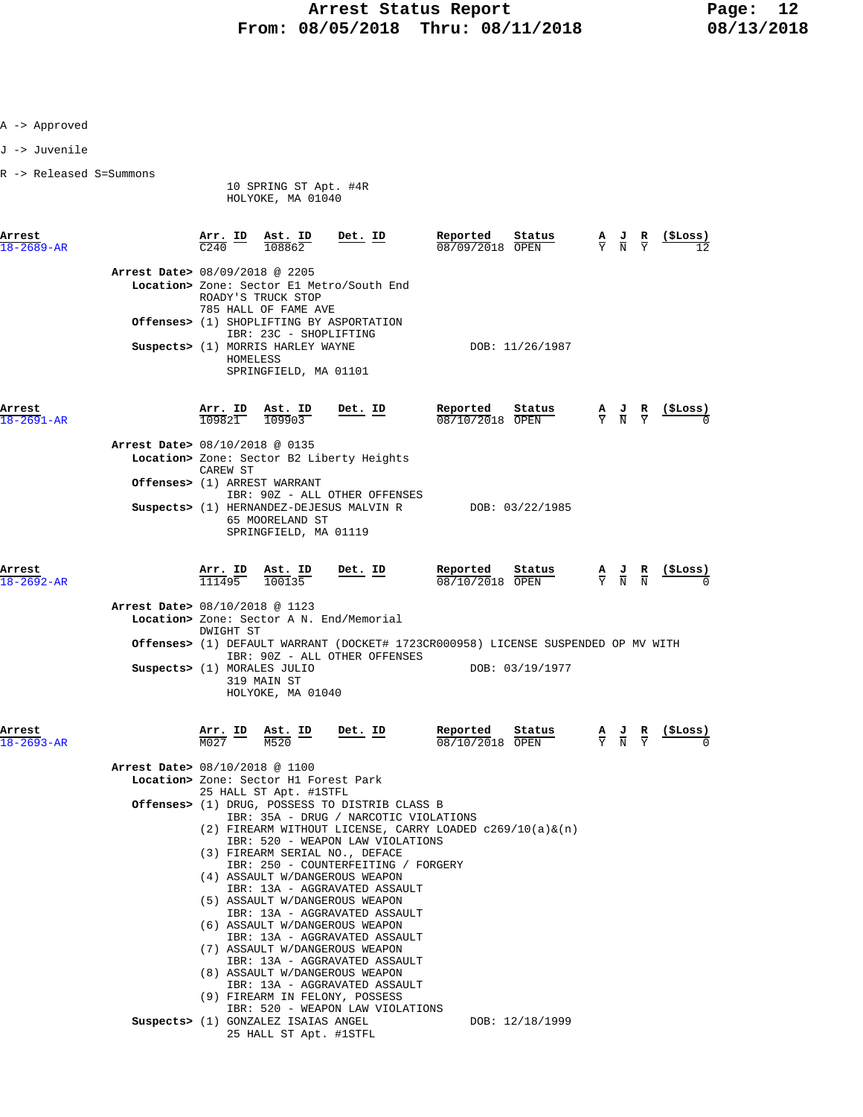- A -> Approved
- J -> Juvenile
- R -> Released S=Summons

 10 SPRING ST Apt. #4R HOLYOKE, MA 01040

| Arrest<br>$18 - 2689 - AR$ |                                | Arr. ID<br>C <sub>240</sub> | Ast. ID<br>108862                            | Det. ID                                                                   | Reported<br>08/09/2018 OPEN | Status          | $\frac{A}{Y}$ $\frac{J}{N}$ | 꾠<br>Y              | (SLoss)<br>12       |
|----------------------------|--------------------------------|-----------------------------|----------------------------------------------|---------------------------------------------------------------------------|-----------------------------|-----------------|-----------------------------|---------------------|---------------------|
|                            | Arrest Date> 08/09/2018 @ 2205 |                             |                                              |                                                                           |                             |                 |                             |                     |                     |
|                            |                                |                             |                                              | Location> Zone: Sector E1 Metro/South End                                 |                             |                 |                             |                     |                     |
|                            |                                |                             | ROADY'S TRUCK STOP<br>785 HALL OF FAME AVE   |                                                                           |                             |                 |                             |                     |                     |
|                            | Offenses>                      | (1)                         | IBR: 23C - SHOPLIFTING                       | SHOPLIFTING BY ASPORTATION                                                |                             |                 |                             |                     |                     |
|                            | Suspects $(1)$                 | HOMELESS                    | MORRIS HARLEY WAYNE<br>SPRINGFIELD, MA 01101 |                                                                           |                             | DOB: 11/26/1987 |                             |                     |                     |
| Arrest<br>$18 - 2691 - AR$ |                                | Arr. ID<br>109821           | Ast. ID<br>109903                            | Det. ID                                                                   | Reported<br>08/10/2018      | Status<br>OPEN  | $\frac{A}{Y}$ $\frac{J}{N}$ | $\overline{B}$<br>Y | (SLoss)<br>$\Omega$ |
|                            | Arrest Date> 08/10/2018 @ 0135 |                             |                                              |                                                                           |                             |                 |                             |                     |                     |
|                            |                                | CAREW ST                    |                                              | Location> Zone: Sector B2 Liberty Heights                                 |                             |                 |                             |                     |                     |
|                            | Offenses (1)                   |                             | ARREST WARRANT                               |                                                                           |                             |                 |                             |                     |                     |
|                            |                                |                             |                                              | IBR: 90Z - ALL OTHER OFFENSES<br>Suspects> (1) HERNANDEZ-DEJESUS MALVIN R |                             | DOB: 03/22/1985 |                             |                     |                     |
|                            |                                |                             |                                              |                                                                           |                             |                 |                             |                     |                     |

 65 MOORELAND ST SPRINGFIELD, MA 01119

| Arrest<br>$18 - 2692 - AR$ |                                                                         | Arr. ID<br>111495 | Ast. ID<br>100135                | Det. ID                                                  | Reported<br>08/10/2018 OPEN                                                       | Status          | $\frac{A}{Y}$ $\frac{J}{N}$ $\frac{R}{N}$ | (\$Loss)<br>O |
|----------------------------|-------------------------------------------------------------------------|-------------------|----------------------------------|----------------------------------------------------------|-----------------------------------------------------------------------------------|-----------------|-------------------------------------------|---------------|
|                            | Arrest Date> 08/10/2018 @ 1123                                          |                   |                                  |                                                          |                                                                                   |                 |                                           |               |
|                            |                                                                         | DWIGHT ST         |                                  | Location> Zone: Sector A N. End/Memorial                 |                                                                                   |                 |                                           |               |
|                            |                                                                         |                   |                                  | IBR: 90Z - ALL OTHER OFFENSES                            | Offenses> (1) DEFAULT WARRANT (DOCKET# 1723CR000958) LICENSE SUSPENDED OP MV WITH |                 |                                           |               |
|                            | Suspects> (1) MORALES JULIO                                             |                   | 319 MAIN ST<br>HOLYOKE, MA 01040 |                                                          |                                                                                   | DOB: 03/19/1977 |                                           |               |
| Arrest<br>$18 - 2693 - AR$ |                                                                         | Arr. ID<br>M027   | Ast. ID<br>M520                  | Det. ID                                                  | Reported<br>08/10/2018 OPEN                                                       | Status          | $\frac{A}{Y}$ $\frac{J}{N}$ $\frac{R}{Y}$ | (\$Loss)<br>O |
|                            | Arrest Date> 08/10/2018 @ 1100<br>Location> Zone: Sector H1 Forest Park |                   | 25 HALL ST Apt. #1STFL           |                                                          |                                                                                   |                 |                                           |               |
|                            |                                                                         |                   |                                  | <b>Offenses&gt;</b> (1) DRUG, POSSESS TO DISTRIB CLASS B |                                                                                   |                 |                                           |               |

- IBR: 35A DRUG / NARCOTIC VIOLATIONS (2) FIREARM WITHOUT LICENSE, CARRY LOADED c269/10(a)&(n) IBR: 520 - WEAPON LAW VIOLATIONS (3) FIREARM SERIAL NO., DEFACE
	- IBR: 250 COUNTERFEITING / FORGERY
	- (4) ASSAULT W/DANGEROUS WEAPON
	- IBR: 13A AGGRAVATED ASSAULT (5) ASSAULT W/DANGEROUS WEAPON
	- IBR: 13A AGGRAVATED ASSAULT
	- (6) ASSAULT W/DANGEROUS WEAPON
	- IBR: 13A AGGRAVATED ASSAULT
	- (7) ASSAULT W/DANGEROUS WEAPON IBR: 13A - AGGRAVATED ASSAULT
	- (8) ASSAULT W/DANGEROUS WEAPON
- IBR: 13A AGGRAVATED ASSAULT (9) FIREARM IN FELONY, POSSESS IBR: 520 - WEAPON LAW VIOLATIONS
- **Suspects>** (1) GONZALEZ ISAIAS ANGEL DOB:  $12/18/1999$ 25 HALL ST Apt. #1STFL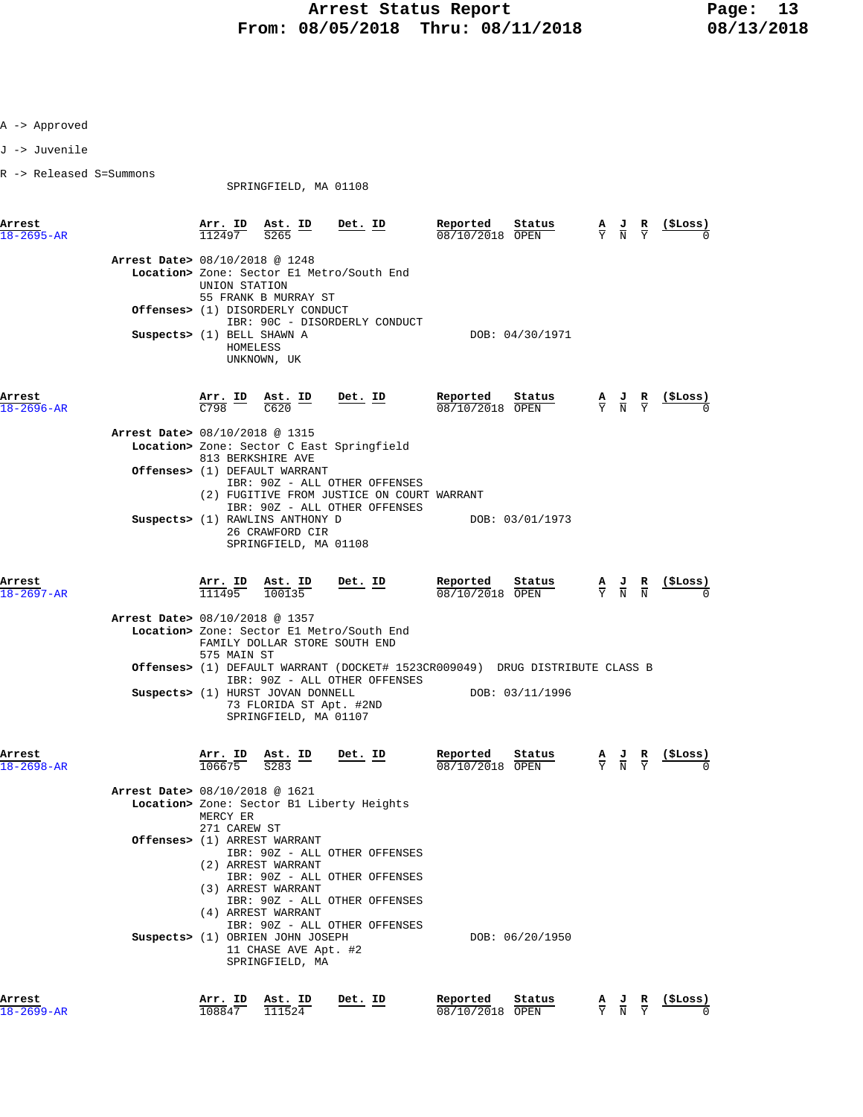J -> Juvenile

R -> Released S=Summons

SPRINGFIELD, MA 01108

| Arrest                     |                                | Arr. ID                                  | Ast. ID                                                                                                      | Det. ID        | Reported                    | Status                                                                                 |                                                                                                 | (ŞLoss)           |
|----------------------------|--------------------------------|------------------------------------------|--------------------------------------------------------------------------------------------------------------|----------------|-----------------------------|----------------------------------------------------------------------------------------|-------------------------------------------------------------------------------------------------|-------------------|
| $18 - 2695 - AR$           |                                | 112497                                   | $\overline{S265}$                                                                                            |                | 08/10/2018 OPEN             |                                                                                        | $\frac{\mathbf{A}}{\mathbf{Y}}$ $\frac{\mathbf{J}}{\mathbf{N}}$ $\frac{\mathbf{R}}{\mathbf{Y}}$ |                   |
|                            | Arrest Date> 08/10/2018 @ 1248 |                                          |                                                                                                              |                |                             |                                                                                        |                                                                                                 |                   |
|                            |                                | UNION STATION                            | Location> Zone: Sector El Metro/South End<br>55 FRANK B MURRAY ST                                            |                |                             |                                                                                        |                                                                                                 |                   |
|                            |                                |                                          | <b>Offenses&gt;</b> (1) DISORDERLY CONDUCT<br>IBR: 90C - DISORDERLY CONDUCT                                  |                |                             |                                                                                        |                                                                                                 |                   |
|                            | Suspects> (1) BELL SHAWN A     |                                          | HOMELESS<br>UNKNOWN, UK                                                                                      |                |                             | DOB: 04/30/1971                                                                        |                                                                                                 |                   |
| Arrest<br>$18 - 2696 - AR$ |                                | $\frac{\texttt{Arr.}}{\texttt{C798}}$ ID | Ast. ID<br>C620                                                                                              | <u>Det. ID</u> | Reported<br>08/10/2018 OPEN | Status                                                                                 | $\frac{A}{Y}$ $\frac{J}{N}$ $\frac{R}{Y}$                                                       | (SLoss)           |
|                            | Arrest Date> 08/10/2018 @ 1315 |                                          |                                                                                                              |                |                             |                                                                                        |                                                                                                 |                   |
|                            |                                |                                          | Location> Zone: Sector C East Springfield<br>813 BERKSHIRE AVE                                               |                |                             |                                                                                        |                                                                                                 |                   |
|                            |                                |                                          | Offenses> (1) DEFAULT WARRANT                                                                                |                |                             |                                                                                        |                                                                                                 |                   |
|                            |                                |                                          | IBR: 90Z - ALL OTHER OFFENSES<br>(2) FUGITIVE FROM JUSTICE ON COURT WARRANT<br>IBR: 90Z - ALL OTHER OFFENSES |                |                             |                                                                                        |                                                                                                 |                   |
|                            |                                |                                          | Suspects> (1) RAWLINS ANTHONY D<br>26 CRAWFORD CIR<br>SPRINGFIELD, MA 01108                                  |                |                             | DOB: 03/01/1973                                                                        |                                                                                                 |                   |
| Arrest                     |                                |                                          | Arr. ID Ast. ID                                                                                              | Det. ID        | Reported                    | Status                                                                                 | $\frac{A}{Y}$ $\frac{J}{N}$ $\frac{R}{N}$                                                       | (ŞLoss)           |
| $18 - 2697 - AR$           |                                | 111495                                   | 100135                                                                                                       |                | 08/10/2018 OPEN             |                                                                                        |                                                                                                 |                   |
|                            | Arrest Date> 08/10/2018 @ 1357 |                                          | Location> Zone: Sector El Metro/South End<br>FAMILY DOLLAR STORE SOUTH END                                   |                |                             |                                                                                        |                                                                                                 |                   |
|                            |                                | 575 MAIN ST                              |                                                                                                              |                |                             | <b>Offenses&gt;</b> (1) DEFAULT WARRANT (DOCKET# 1523CR009049) DRUG DISTRIBUTE CLASS B |                                                                                                 |                   |
|                            |                                |                                          | IBR: 90Z - ALL OTHER OFFENSES<br>Suspects> (1) HURST JOVAN DONNELL                                           |                |                             | DOB: 03/11/1996                                                                        |                                                                                                 |                   |
|                            |                                |                                          | 73 FLORIDA ST Apt. #2ND<br>SPRINGFIELD, MA 01107                                                             |                |                             |                                                                                        |                                                                                                 |                   |
| Arrest<br>$18 - 2698 - AR$ |                                | Arr. ID<br>106675                        | $Ast.$ ID<br>$\overline{S283}$                                                                               | <u>Det. ID</u> | Reported<br>08/10/2018 OPEN | Status                                                                                 | $\frac{\mathbf{A}}{\mathbf{Y}}$ $\frac{\mathbf{J}}{\mathbf{N}}$ $\frac{\mathbf{R}}{\mathbf{Y}}$ | $(_{\rm{SLOSS}})$ |
|                            | Arrest Date> 08/10/2018 @ 1621 |                                          |                                                                                                              |                |                             |                                                                                        |                                                                                                 |                   |
|                            |                                | MERCY ER                                 | Location> Zone: Sector B1 Liberty Heights                                                                    |                |                             |                                                                                        |                                                                                                 |                   |
|                            |                                | 271 CAREW ST                             | <b>Offenses&gt;</b> (1) ARREST WARRANT                                                                       |                |                             |                                                                                        |                                                                                                 |                   |
|                            |                                |                                          | IBR: 90Z - ALL OTHER OFFENSES<br>(2) ARREST WARRANT                                                          |                |                             |                                                                                        |                                                                                                 |                   |
|                            |                                |                                          | IBR: 90Z - ALL OTHER OFFENSES                                                                                |                |                             |                                                                                        |                                                                                                 |                   |
|                            |                                |                                          | (3) ARREST WARRANT<br>IBR: 90Z - ALL OTHER OFFENSES                                                          |                |                             |                                                                                        |                                                                                                 |                   |
|                            |                                |                                          | (4) ARREST WARRANT                                                                                           |                |                             |                                                                                        |                                                                                                 |                   |
|                            |                                |                                          | IBR: 90Z - ALL OTHER OFFENSES<br>Suspects> (1) OBRIEN JOHN JOSEPH<br>11 CHASE AVE Apt. #2<br>SPRINGFIELD, MA |                |                             | DOB: 06/20/1950                                                                        |                                                                                                 |                   |
|                            |                                |                                          |                                                                                                              |                |                             |                                                                                        |                                                                                                 |                   |
| Arrest                     |                                |                                          | Arr. ID Ast. ID                                                                                              | Det. ID        | Reported                    | Status                                                                                 |                                                                                                 | A J R (\$Loss)    |

 $\overline{108647}$   $\overline{111524}$   $\overline{08/10/2018}$   $\overline{OPEN}$   $\overline{X}$   $\overline{Y}$   $\overline{Y}$   $\overline{0}$   $0$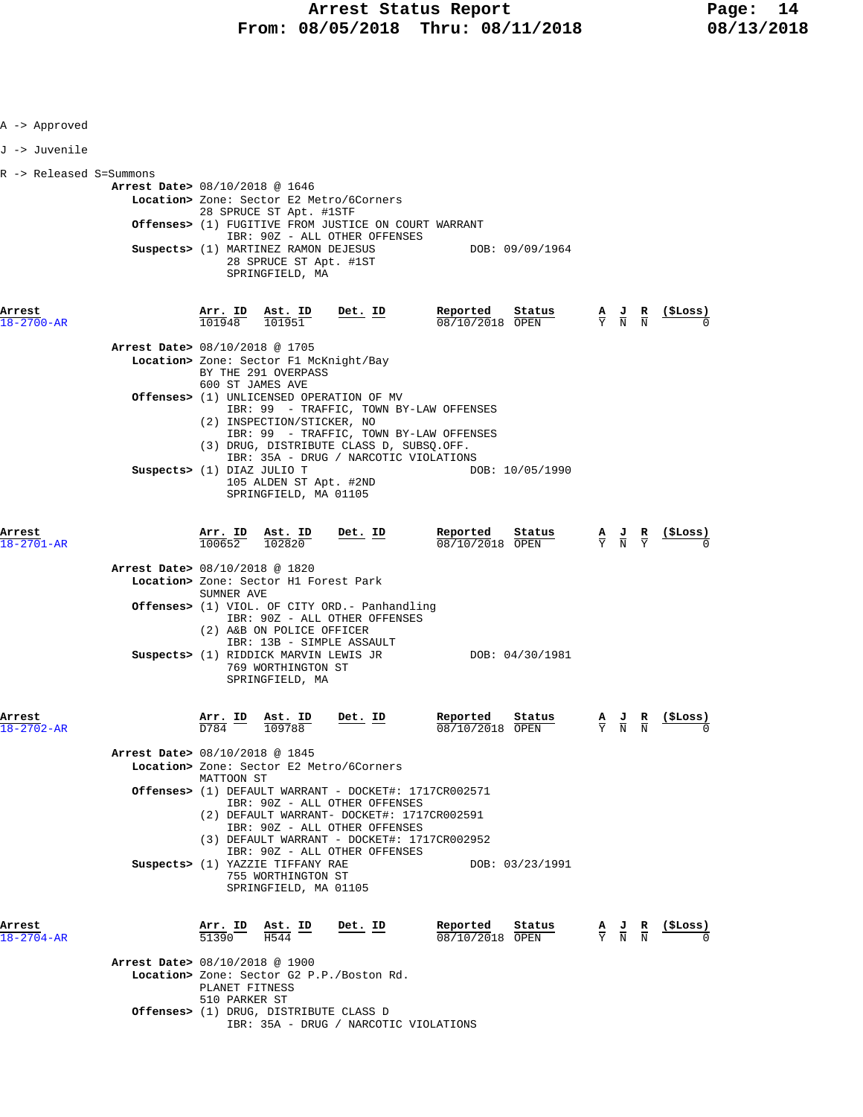| A -> Approved              |                                                                                                                                                                                                                                                                                                                            |                                                      |                                                               |
|----------------------------|----------------------------------------------------------------------------------------------------------------------------------------------------------------------------------------------------------------------------------------------------------------------------------------------------------------------------|------------------------------------------------------|---------------------------------------------------------------|
| J -> Juvenile              |                                                                                                                                                                                                                                                                                                                            |                                                      |                                                               |
| R -> Released S=Summons    | <b>Arrest Date&gt;</b> 08/10/2018 @ 1646<br>Location> Zone: Sector E2 Metro/6Corners<br>28 SPRUCE ST Apt. #1STF<br><b>Offenses&gt;</b> (1) FUGITIVE FROM JUSTICE ON COURT WARRANT<br>IBR: 90Z - ALL OTHER OFFENSES<br>Suspects> (1) MARTINEZ RAMON DEJESUS<br>DOB: 09/09/1964<br>28 SPRUCE ST Apt. #1ST<br>SPRINGFIELD, MA |                                                      |                                                               |
| Arrest<br>18-2700-AR       | $\frac{\texttt{Arr. ID}}{101948}$ $\frac{\texttt{Ast. ID}}{101951}$ Det. ID<br><b>Reported</b> Status $\frac{A}{Y}$ J R (\$Loss)<br>08/10/2018 OPEN $\frac{A}{Y}$ N N                                                                                                                                                      |                                                      |                                                               |
|                            | <b>Arrest Date&gt;</b> 08/10/2018 @ 1705<br>Location> Zone: Sector F1 McKnight/Bay<br>BY THE 291 OVERPASS<br>600 ST JAMES AVE                                                                                                                                                                                              |                                                      |                                                               |
|                            | Offenses> (1) UNLICENSED OPERATION OF MV<br>IBR: 99 - TRAFFIC, TOWN BY-LAW OFFENSES<br>(2) INSPECTION/STICKER, NO                                                                                                                                                                                                          |                                                      |                                                               |
|                            | IBR: 99 - TRAFFIC, TOWN BY-LAW OFFENSES<br>(3) DRUG, DISTRIBUTE CLASS D, SUBSQ.OFF.<br>IBR: 35A - DRUG / NARCOTIC VIOLATIONS<br>Suspects> (1) DIAZ JULIO T<br>DOB: 10/05/1990<br>105 ALDEN ST Apt. #2ND<br>SPRINGFIELD, MA 01105                                                                                           |                                                      |                                                               |
| Arrest<br>$18 - 2701 - AR$ | <b>Arr. ID</b> Ast. ID Det. ID Reported Status A J R (\$Loss) $\frac{100652}{102820}$ $\frac{102820}{10000}$                                                                                                                                                                                                               |                                                      |                                                               |
|                            | Arrest Date> 08/10/2018 @ 1820<br>Location> Zone: Sector H1 Forest Park<br>SUMNER AVE                                                                                                                                                                                                                                      |                                                      |                                                               |
|                            | <b>Offenses&gt;</b> (1) VIOL. OF CITY ORD.- Panhandling<br>IBR: 90Z - ALL OTHER OFFENSES<br>(2) A&B ON POLICE OFFICER<br>IBR: 13B - SIMPLE ASSAULT                                                                                                                                                                         |                                                      |                                                               |
|                            | Suspects> (1) RIDDICK MARVIN LEWIS JR DOB: 04/30/1981<br>769 WORTHINGTON ST<br>SPRINGFIELD, MA                                                                                                                                                                                                                             |                                                      |                                                               |
| Arrest<br>18-2702-AR       | Reported<br>$\frac{\texttt{Ast. ID}}{109788}$ Det. ID<br>Reported Status<br>08/10/2018 OPEN<br>$\frac{\text{Arr.}}{\text{D784}}$ ID                                                                                                                                                                                        | AJ R<br>$\overline{Y}$ $\overline{N}$ $\overline{N}$ | (SLoss)                                                       |
|                            | <b>Arrest Date&gt; 08/10/2018 @ 1845</b><br>Location> Zone: Sector E2 Metro/6Corners<br>MATTOON ST                                                                                                                                                                                                                         |                                                      |                                                               |
|                            | <b>Offenses&gt;</b> (1) DEFAULT WARRANT - DOCKET#: 1717CR002571<br>IBR: 90Z - ALL OTHER OFFENSES<br>(2) DEFAULT WARRANT- DOCKET#: 1717CR002591<br>IBR: 90Z - ALL OTHER OFFENSES<br>(3) DEFAULT WARRANT - DOCKET#: 1717CR002952                                                                                             |                                                      |                                                               |
|                            | IBR: 90Z - ALL OTHER OFFENSES<br>Suspects> (1) YAZZIE TIFFANY RAE<br>DOB: 03/23/1991<br>755 WORTHINGTON ST<br>SPRINGFIELD, MA 01105                                                                                                                                                                                        |                                                      |                                                               |
| Arrest<br>18-2704-AR       | Reported<br>$\frac{\texttt{Arr.}}{51390}$ $\frac{\texttt{ Ast.}}{\texttt{H544}}$ ID<br><u>Det. ID</u><br>Status<br>08/10/2018 OPEN                                                                                                                                                                                         |                                                      | $\frac{A}{Y}$ $\frac{J}{N}$ $\frac{R}{N}$ $\frac{($Loss)}{N}$ |
|                            | Arrest Date> 08/10/2018 @ 1900<br>Location> Zone: Sector G2 P.P./Boston Rd.<br>PLANET FITNESS<br>510 PARKER ST                                                                                                                                                                                                             |                                                      |                                                               |
|                            | <b>Offenses&gt;</b> (1) DRUG, DISTRIBUTE CLASS D<br>IBR: 35A - DRUG / NARCOTIC VIOLATIONS                                                                                                                                                                                                                                  |                                                      |                                                               |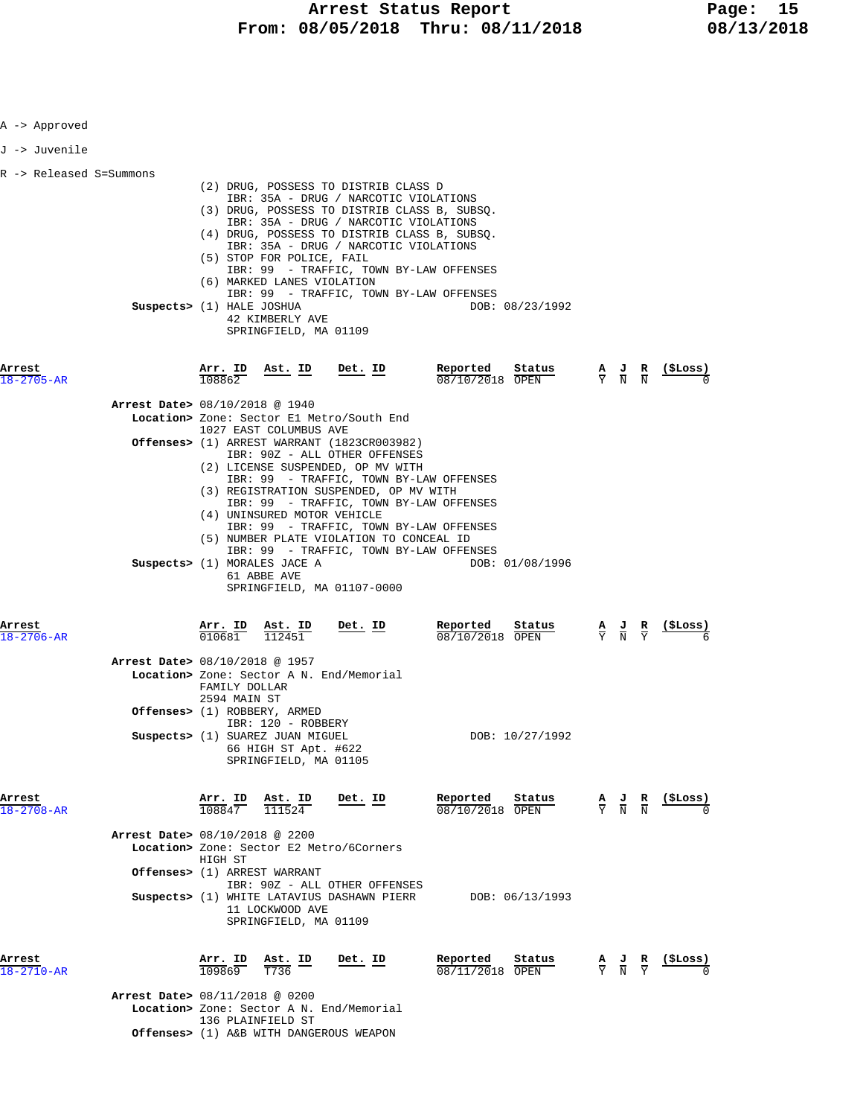| A -> Approved              |                                |                                |                                                                                                                                         |                                                                                                                                                                                                                                                                                                                                                       |                                                                        |                                                                                                 |                                                               |
|----------------------------|--------------------------------|--------------------------------|-----------------------------------------------------------------------------------------------------------------------------------------|-------------------------------------------------------------------------------------------------------------------------------------------------------------------------------------------------------------------------------------------------------------------------------------------------------------------------------------------------------|------------------------------------------------------------------------|-------------------------------------------------------------------------------------------------|---------------------------------------------------------------|
| J -> Juvenile              |                                |                                |                                                                                                                                         |                                                                                                                                                                                                                                                                                                                                                       |                                                                        |                                                                                                 |                                                               |
| R -> Released S=Summons    | Suspects> (1) HALE JOSHUA      |                                | (5) STOP FOR POLICE, FAIL<br>(6) MARKED LANES VIOLATION<br>42 KIMBERLY AVE<br>SPRINGFIELD, MA 01109                                     | (2) DRUG, POSSESS TO DISTRIB CLASS D<br>IBR: 35A - DRUG / NARCOTIC VIOLATIONS<br>(3) DRUG, POSSESS TO DISTRIB CLASS B, SUBSQ.<br>IBR: 35A - DRUG / NARCOTIC VIOLATIONS<br>(4) DRUG, POSSESS TO DISTRIB CLASS B, SUBSQ.<br>IBR: 35A - DRUG / NARCOTIC VIOLATIONS<br>IBR: 99 - TRAFFIC, TOWN BY-LAW OFFENSES<br>IBR: 99 - TRAFFIC, TOWN BY-LAW OFFENSES | DOB: 08/23/1992                                                        |                                                                                                 |                                                               |
| Arrest<br>$18 - 2705 - AR$ |                                | 108862                         | $\frac{\text{Arr. ID}}{108862}$ Ast. ID Det. ID                                                                                         |                                                                                                                                                                                                                                                                                                                                                       | Reported                                                               |                                                                                                 | $\frac{A}{Y}$ $\frac{J}{N}$ $\frac{R}{N}$ (\$Loss)            |
|                            | Arrest Date> 08/10/2018 @ 1940 |                                |                                                                                                                                         |                                                                                                                                                                                                                                                                                                                                                       |                                                                        |                                                                                                 |                                                               |
|                            |                                |                                | 1027 EAST COLUMBUS AVE                                                                                                                  | Location> Zone: Sector El Metro/South End                                                                                                                                                                                                                                                                                                             |                                                                        |                                                                                                 |                                                               |
|                            |                                |                                |                                                                                                                                         | <b>Offenses&gt;</b> (1) ARREST WARRANT (1823CR003982)<br>IBR: 90Z - ALL OTHER OFFENSES                                                                                                                                                                                                                                                                |                                                                        |                                                                                                 |                                                               |
|                            |                                |                                | (4) UNINSURED MOTOR VEHICLE<br>Suspects> (1) MORALES JACE A<br>61 ABBE AVE                                                              | (2) LICENSE SUSPENDED, OP MV WITH<br>IBR: 99 - TRAFFIC, TOWN BY-LAW OFFENSES<br>(3) REGISTRATION SUSPENDED, OP MV WITH<br>IBR: 99 - TRAFFIC, TOWN BY-LAW OFFENSES<br>IBR: 99 - TRAFFIC, TOWN BY-LAW OFFENSES<br>(5) NUMBER PLATE VIOLATION TO CONCEAL ID<br>IBR: 99 - TRAFFIC, TOWN BY-LAW OFFENSES<br>SPRINGFIELD, MA 01107-0000                     | DOB: 01/08/1996                                                        |                                                                                                 |                                                               |
| Arrest<br>$18 - 2706 - AR$ |                                | <u>Arr. ID</u><br>010681       | <u>Ast. ID</u><br>112451                                                                                                                | $Det$ . ID                                                                                                                                                                                                                                                                                                                                            | Reported<br>$\frac{\texttt{Status}}{\texttt{OPTN}}$<br>08/10/2018 OPEN | $\frac{\mathbf{A}}{\mathbf{Y}}$ $\frac{\mathbf{J}}{\mathbf{N}}$ $\frac{\mathbf{R}}{\mathbf{Y}}$ | <u>( ŞLoss )</u>                                              |
|                            | Arrest Date> 08/10/2018 @ 1957 | FAMILY DOLLAR<br>2594 MAIN ST  |                                                                                                                                         | Location> Zone: Sector A N. End/Memorial                                                                                                                                                                                                                                                                                                              |                                                                        |                                                                                                 |                                                               |
|                            |                                |                                | Offenses> (1) ROBBERY, ARMED<br>IBR: 120 - ROBBERY<br>Suspects> (1) SUAREZ JUAN MIGUEL<br>66 HIGH ST Apt. #622<br>SPRINGFIELD, MA 01105 |                                                                                                                                                                                                                                                                                                                                                       | DOB: 10/27/1992                                                        |                                                                                                 |                                                               |
| Arrest<br>18-2708-AR       |                                | $\frac{\texttt{Arr.}}{108847}$ | $\frac{\texttt{Ast.}}{111524}$                                                                                                          | $Det$ . ID                                                                                                                                                                                                                                                                                                                                            | Reported<br>Status<br>08/10/2018 OPEN                                  |                                                                                                 | $\frac{A}{Y}$ $\frac{J}{N}$ $\frac{R}{N}$ $\frac{($Loss)}{0}$ |
|                            | Arrest Date> 08/10/2018 @ 2200 | HIGH ST                        |                                                                                                                                         | Location> Zone: Sector E2 Metro/6Corners                                                                                                                                                                                                                                                                                                              |                                                                        |                                                                                                 |                                                               |
|                            |                                |                                | Offenses> (1) ARREST WARRANT                                                                                                            | IBR: 90Z - ALL OTHER OFFENSES                                                                                                                                                                                                                                                                                                                         |                                                                        |                                                                                                 |                                                               |
|                            |                                |                                | 11 LOCKWOOD AVE<br>SPRINGFIELD, MA 01109                                                                                                |                                                                                                                                                                                                                                                                                                                                                       | Suspects> (1) WHITE LATAVIUS DASHAWN PIERR DOB: 06/13/1993             |                                                                                                 |                                                               |
| Arrest<br>18-2710-AR       |                                | Arr. ID<br>109869              | Ast. ID<br>T736                                                                                                                         | Det. ID                                                                                                                                                                                                                                                                                                                                               | Reported Status<br>$\frac{08}{11/2018}$ OPEN                           | $\frac{A}{Y}$ $\frac{J}{N}$ $\frac{R}{Y}$                                                       | <u>(SLoss)</u>                                                |
|                            | Arrest Date> 08/11/2018 @ 0200 |                                | 136 PLAINFIELD ST                                                                                                                       | Location> Zone: Sector A N. End/Memorial                                                                                                                                                                                                                                                                                                              |                                                                        |                                                                                                 |                                                               |
|                            |                                |                                |                                                                                                                                         | <b>Offenses&gt;</b> (1) A&B WITH DANGEROUS WEAPON                                                                                                                                                                                                                                                                                                     |                                                                        |                                                                                                 |                                                               |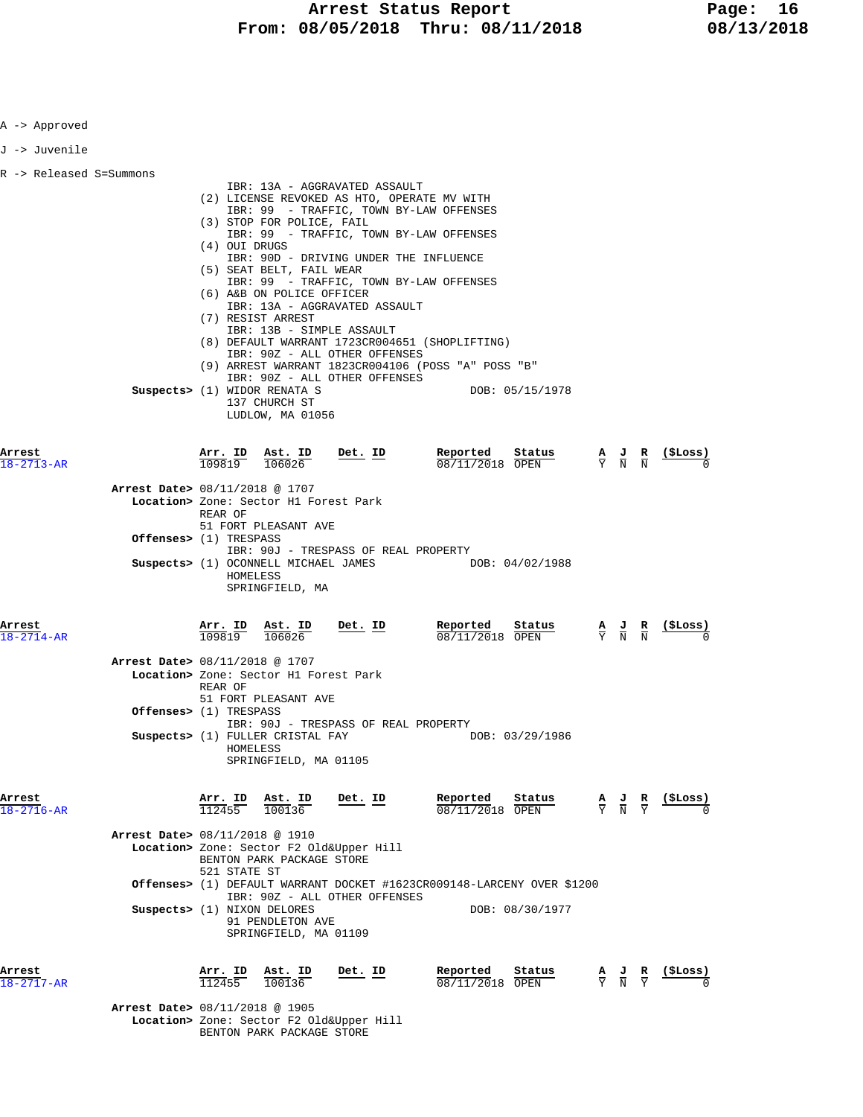| A -> Approved              |                                                                    |                     |                                                                                                                                                                                                      |                                                                                                                                                                                                                                                        |                                                                                                                                                                                                                                                          |                                                                                                 |                                                                                 |
|----------------------------|--------------------------------------------------------------------|---------------------|------------------------------------------------------------------------------------------------------------------------------------------------------------------------------------------------------|--------------------------------------------------------------------------------------------------------------------------------------------------------------------------------------------------------------------------------------------------------|----------------------------------------------------------------------------------------------------------------------------------------------------------------------------------------------------------------------------------------------------------|-------------------------------------------------------------------------------------------------|---------------------------------------------------------------------------------|
| J -> Juvenile              |                                                                    |                     |                                                                                                                                                                                                      |                                                                                                                                                                                                                                                        |                                                                                                                                                                                                                                                          |                                                                                                 |                                                                                 |
| R -> Released S=Summons    |                                                                    | (4) OUI DRUGS       | (3) STOP FOR POLICE, FAIL<br>(5) SEAT BELT, FAIL WEAR<br>(6) A&B ON POLICE OFFICER<br>(7) RESIST ARREST<br>Suspects> (1) WIDOR RENATA S<br>137 CHURCH ST<br>LUDLOW, MA 01056                         | IBR: 13A - AGGRAVATED ASSAULT<br>(2) LICENSE REVOKED AS HTO, OPERATE MV WITH<br>IBR: 90D - DRIVING UNDER THE INFLUENCE<br>IBR: 13A - AGGRAVATED ASSAULT<br>IBR: 13B - SIMPLE ASSAULT<br>IBR: 90Z - ALL OTHER OFFENSES<br>IBR: 90Z - ALL OTHER OFFENSES | IBR: 99 - TRAFFIC, TOWN BY-LAW OFFENSES<br>IBR: 99 - TRAFFIC, TOWN BY-LAW OFFENSES<br>IBR: 99 - TRAFFIC, TOWN BY-LAW OFFENSES<br>(8) DEFAULT WARRANT 1723CR004651 (SHOPLIFTING)<br>(9) ARREST WARRANT 1823CR004106 (POSS "A" POSS "B"<br>DOB: 05/15/1978 |                                                                                                 |                                                                                 |
| Arrest<br>18-2713-AR       | Arrest Date> 08/11/2018 @ 1707                                     | Arr. ID<br>REAR OF  | Ast. ID<br>$\frac{11111}{109819}$ $\frac{1}{106026}$<br>Location> Zone: Sector H1 Forest Park<br>51 FORT PLEASANT AVE                                                                                | Det. ID                                                                                                                                                                                                                                                | Reported<br>Status<br>08/11/2018 OPEN                                                                                                                                                                                                                    |                                                                                                 | $\frac{A}{Y}$ $\frac{J}{N}$ $\frac{R}{N}$ $\frac{(\frac{5}{2} \text{Loss})}{0}$ |
|                            | Offenses> (1) TRESPASS                                             | HOMELESS            | SPRINGFIELD, MA                                                                                                                                                                                      | IBR: 90J - TRESPASS OF REAL PROPERTY                                                                                                                                                                                                                   | Suspects> (1) OCONNELL MICHAEL JAMES DOB: 04/02/1988                                                                                                                                                                                                     |                                                                                                 |                                                                                 |
| Arrest<br>$18 - 2714 - AR$ | Arrest Date> 08/11/2018 @ 1707<br><b>Offenses&gt;</b> (1) TRESPASS | REAR OF<br>HOMELESS | $\frac{\texttt{Arr.}}{109819}$ $\frac{\texttt{ Ast.}}{106026}$ Det. ID<br>Location> Zone: Sector H1 Forest Park<br>51 FORT PLEASANT AVE<br>Suspects> (1) FULLER CRISTAL FAY<br>SPRINGFIELD, MA 01105 | IBR: 90J - TRESPASS OF REAL PROPERTY                                                                                                                                                                                                                   | Reported<br>Status<br>08/11/2018 OPEN<br>DOB: 03/29/1986                                                                                                                                                                                                 | $\frac{\mathbf{A}}{\mathbf{Y}}$ $\frac{\mathbf{J}}{\mathbf{N}}$ $\frac{\mathbf{R}}{\mathbf{N}}$ | $\frac{1}{2}$                                                                   |
| Arrest<br>$18 - 2716 - AR$ | Arrest Date> 08/11/2018 @ 1910<br>Suspects> (1) NIXON DELORES      | 521 STATE ST        | $\frac{\text{Arr.}}{112455}$ $\frac{\text{lab.}}{100136}$<br>BENTON PARK PACKAGE STORE<br>91 PENDLETON AVE<br>SPRINGFIELD, MA 01109                                                                  | <u>Det. ID</u><br>Location> Zone: Sector F2 Old&Upper Hill<br>IBR: 90Z - ALL OTHER OFFENSES                                                                                                                                                            | Reported<br>$\frac{\text{Status}}{\text{OPEN}}$ $\frac{A}{Y}$ $\frac{J}{N}$ $\frac{R}{Y}$<br>08/11/2018 OPEN<br>Offenses> (1) DEFAULT WARRANT DOCKET #1623CR009148-LARCENY OVER \$1200<br>DOB: 08/30/1977                                                |                                                                                                 | <u>(ŞLoss)</u>                                                                  |
| Arrest<br>18-2717-AR       | Arrest Date> 08/11/2018 @ 1905                                     | Arr. ID<br>112455   | Ast. ID<br>100136                                                                                                                                                                                    | <u>Det. ID</u>                                                                                                                                                                                                                                         | Reported<br>Status<br>08/11/2018 OPEN                                                                                                                                                                                                                    | $\frac{\mathbf{A}}{\mathbf{Y}}$ $\frac{\mathbf{J}}{\mathbf{N}}$ $\frac{\mathbf{R}}{\mathbf{Y}}$ | <u>(ŞLoss)</u>                                                                  |

 **Location>** Zone: Sector F2 Old&Upper Hill BENTON PARK PACKAGE STORE